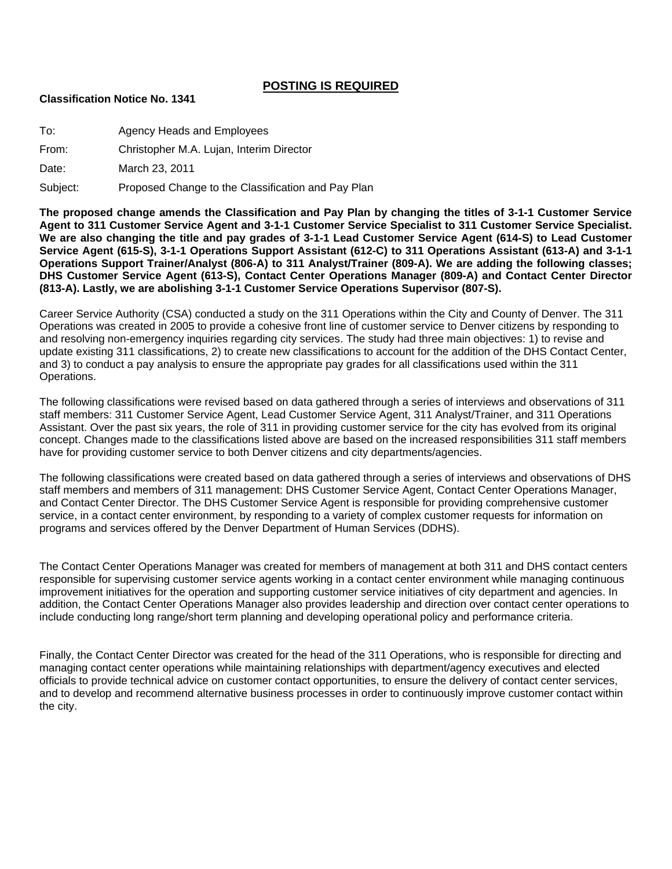### **POSTING IS REQUIRED**

#### **Classification Notice No. 1341**

| To:      | Agency Heads and Employees                         |
|----------|----------------------------------------------------|
| From:    | Christopher M.A. Lujan, Interim Director           |
| Date:    | March 23, 2011                                     |
| Subject: | Proposed Change to the Classification and Pay Plan |

**The proposed change amends the Classification and Pay Plan by changing the titles of 3-1-1 Customer Service Agent to 311 Customer Service Agent and 3-1-1 Customer Service Specialist to 311 Customer Service Specialist. We are also changing the title and pay grades of 3-1-1 Lead Customer Service Agent (614-S) to Lead Customer Service Agent (615-S), 3-1-1 Operations Support Assistant (612-C) to 311 Operations Assistant (613-A) and 3-1-1 Operations Support Trainer/Analyst (806-A) to 311 Analyst/Trainer (809-A). We are adding the following classes; DHS Customer Service Agent (613-S), Contact Center Operations Manager (809-A) and Contact Center Director (813-A). Lastly, we are abolishing 3-1-1 Customer Service Operations Supervisor (807-S).** 

Career Service Authority (CSA) conducted a study on the 311 Operations within the City and County of Denver. The 311 Operations was created in 2005 to provide a cohesive front line of customer service to Denver citizens by responding to and resolving non-emergency inquiries regarding city services. The study had three main objectives: 1) to revise and update existing 311 classifications, 2) to create new classifications to account for the addition of the DHS Contact Center, and 3) to conduct a pay analysis to ensure the appropriate pay grades for all classifications used within the 311 Operations.

The following classifications were revised based on data gathered through a series of interviews and observations of 311 staff members: 311 Customer Service Agent, Lead Customer Service Agent, 311 Analyst/Trainer, and 311 Operations Assistant. Over the past six years, the role of 311 in providing customer service for the city has evolved from its original concept. Changes made to the classifications listed above are based on the increased responsibilities 311 staff members have for providing customer service to both Denver citizens and city departments/agencies.

The following classifications were created based on data gathered through a series of interviews and observations of DHS staff members and members of 311 management: DHS Customer Service Agent, Contact Center Operations Manager, and Contact Center Director. The DHS Customer Service Agent is responsible for providing comprehensive customer service, in a contact center environment, by responding to a variety of complex customer requests for information on programs and services offered by the Denver Department of Human Services (DDHS).

The Contact Center Operations Manager was created for members of management at both 311 and DHS contact centers responsible for supervising customer service agents working in a contact center environment while managing continuous improvement initiatives for the operation and supporting customer service initiatives of city department and agencies. In addition, the Contact Center Operations Manager also provides leadership and direction over contact center operations to include conducting long range/short term planning and developing operational policy and performance criteria.

Finally, the Contact Center Director was created for the head of the 311 Operations, who is responsible for directing and managing contact center operations while maintaining relationships with department/agency executives and elected officials to provide technical advice on customer contact opportunities, to ensure the delivery of contact center services, and to develop and recommend alternative business processes in order to continuously improve customer contact within the city.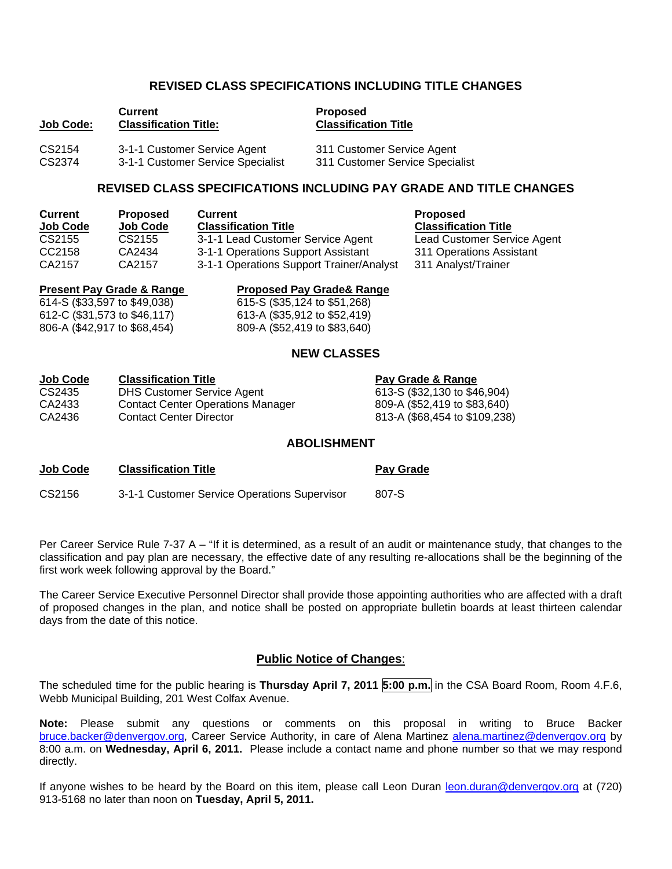### **REVISED CLASS SPECIFICATIONS INCLUDING TITLE CHANGES**

| Job Code: | <b>Current</b><br><b>Classification Title:</b> | <b>Proposed</b><br><b>Classification Title</b> |
|-----------|------------------------------------------------|------------------------------------------------|
| CS2154    | 3-1-1 Customer Service Agent                   | 311 Customer Service Agent                     |
| CS2374    | 3-1-1 Customer Service Specialist              | 311 Customer Service Specialist                |

### **REVISED CLASS SPECIFICATIONS INCLUDING PAY GRADE AND TITLE CHANGES**

| <b>Current</b>  | <b>Proposed</b> | <b>Current</b>                           | <b>Proposed</b>    |
|-----------------|-----------------|------------------------------------------|--------------------|
| <b>Job Code</b> | <b>Job Code</b> | <b>Classification Title</b>              | <b>Classificat</b> |
| CS2155          | CS2155          | 3-1-1 Lead Customer Service Agent        | <b>Lead Custo</b>  |
| CC2158          | CA2434          | 3-1-1 Operations Support Assistant       | 311 Operat         |
| CA2157          | CA2157          | 3-1-1 Operations Support Trainer/Analyst | 311 Analys         |

**Job Code Job Code Classification Title Classification Title** d Customer Service Agent **Operations Assistant** Analyst/Trainer

806-A (\$42,917 to \$68,454) 809-A (\$52,419 to \$83,640)

**Present Pay Grade & Range Proposed Pay Grade & Range 614-S (\$33,597 to \$49,038)**<br>615-S (\$33,124 to \$51,268) 615-S (\$35,124 to \$51,268) 612-C (\$31,573 to \$46,117) 613-A (\$35,912 to \$52,419)

#### **NEW CLASSES**

| <b>Job Code</b> | <b>Classification Title</b>              | Pay Grade & Range             |
|-----------------|------------------------------------------|-------------------------------|
| CS2435          | <b>DHS Customer Service Agent</b>        | 613-S (\$32,130 to \$46,904)  |
| CA2433          | <b>Contact Center Operations Manager</b> | 809-A (\$52,419 to \$83,640)  |
| CA2436          | <b>Contact Center Director</b>           | 813-A (\$68,454 to \$109,238) |

#### **ABOLISHMENT**

| Job Code | <b>Classification Title</b>                  | <b>Pay Grade</b> |
|----------|----------------------------------------------|------------------|
| CS2156   | 3-1-1 Customer Service Operations Supervisor | 807-S            |

Per Career Service Rule 7-37 A – "If it is determined, as a result of an audit or maintenance study, that changes to the classification and pay plan are necessary, the effective date of any resulting re-allocations shall be the beginning of the first work week following approval by the Board."

The Career Service Executive Personnel Director shall provide those appointing authorities who are affected with a draft of proposed changes in the plan, and notice shall be posted on appropriate bulletin boards at least thirteen calendar days from the date of this notice.

#### **Public Notice of Changes**:

The scheduled time for the public hearing is **Thursday April 7, 2011 5:00 p.m.** in the CSA Board Room, Room 4.F.6, Webb Municipal Building, 201 West Colfax Avenue.

**Note:** Please submit any questions or comments on this proposal in writing to Bruce Backer [bruce.backer@denvergov.org,](mailto:bruce.backer@denvergov.org) Career Service Authority, in care of Alena Martinez [alena.martinez@denvergov.org](mailto:alena.martinez@denvergov.org) by 8:00 a.m. on **Wednesday, April 6, 2011.** Please include a contact name and phone number so that we may respond directly.

If anyone wishes to be heard by the Board on this item, please call Leon Duran [leon.duran@denvergov.org](mailto:leon.duran@denvergov.org) at (720) 913-5168 no later than noon on **Tuesday, April 5, 2011.**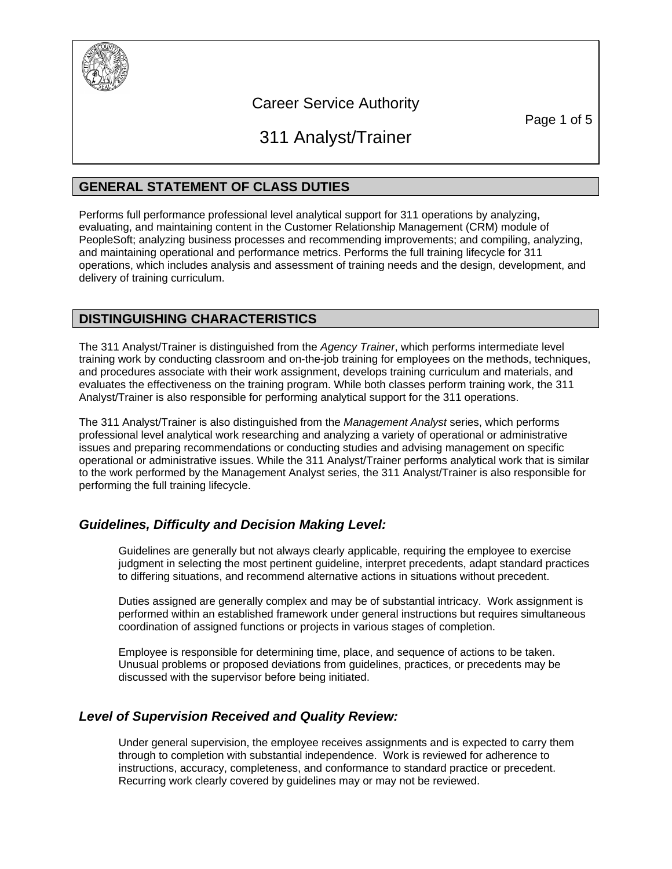

# Career Service Authority

Page 1 of 5

# 311 Analyst/Trainer

# **GENERAL STATEMENT OF CLASS DUTIES**

Performs full performance professional level analytical support for 311 operations by analyzing, evaluating, and maintaining content in the Customer Relationship Management (CRM) module of PeopleSoft; analyzing business processes and recommending improvements; and compiling, analyzing, and maintaining operational and performance metrics. Performs the full training lifecycle for 311 operations, which includes analysis and assessment of training needs and the design, development, and delivery of training curriculum.

# **DISTINGUISHING CHARACTERISTICS**

The 311 Analyst/Trainer is distinguished from the *Agency Trainer*, which performs intermediate level training work by conducting classroom and on-the-job training for employees on the methods, techniques, and procedures associate with their work assignment, develops training curriculum and materials, and evaluates the effectiveness on the training program. While both classes perform training work, the 311 Analyst/Trainer is also responsible for performing analytical support for the 311 operations.

The 311 Analyst/Trainer is also distinguished from the *Management Analyst* series, which performs professional level analytical work researching and analyzing a variety of operational or administrative issues and preparing recommendations or conducting studies and advising management on specific operational or administrative issues. While the 311 Analyst/Trainer performs analytical work that is similar to the work performed by the Management Analyst series, the 311 Analyst/Trainer is also responsible for performing the full training lifecycle.

# *Guidelines, Difficulty and Decision Making Level:*

Guidelines are generally but not always clearly applicable, requiring the employee to exercise judgment in selecting the most pertinent guideline, interpret precedents, adapt standard practices to differing situations, and recommend alternative actions in situations without precedent.

Duties assigned are generally complex and may be of substantial intricacy. Work assignment is performed within an established framework under general instructions but requires simultaneous coordination of assigned functions or projects in various stages of completion.

Employee is responsible for determining time, place, and sequence of actions to be taken. Unusual problems or proposed deviations from guidelines, practices, or precedents may be discussed with the supervisor before being initiated.

# *Level of Supervision Received and Quality Review:*

Under general supervision, the employee receives assignments and is expected to carry them through to completion with substantial independence. Work is reviewed for adherence to instructions, accuracy, completeness, and conformance to standard practice or precedent. Recurring work clearly covered by guidelines may or may not be reviewed.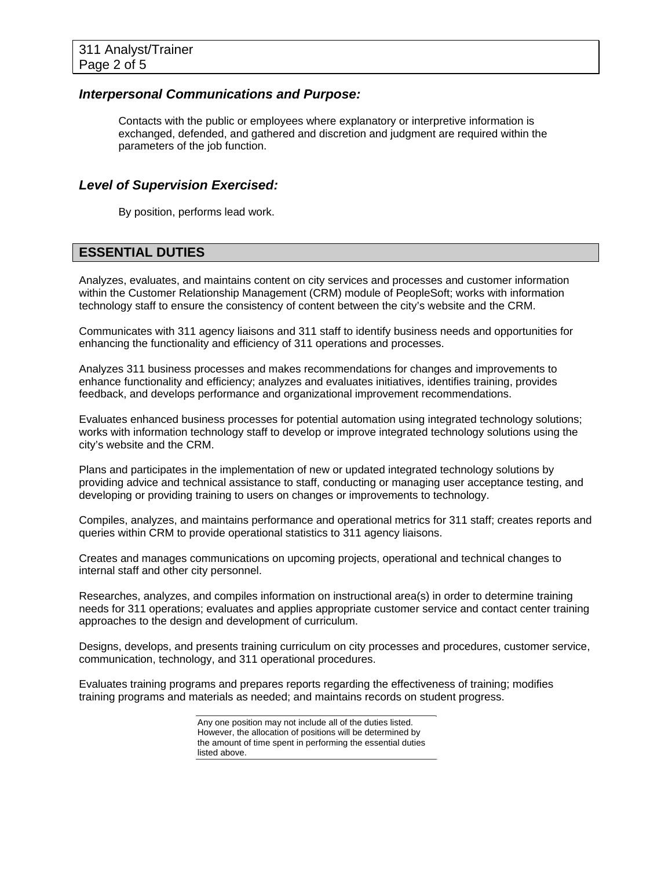### *Interpersonal Communications and Purpose:*

Contacts with the public or employees where explanatory or interpretive information is exchanged, defended, and gathered and discretion and judgment are required within the parameters of the job function.

### *Level of Supervision Exercised:*

By position, performs lead work.

### **ESSENTIAL DUTIES**

Analyzes, evaluates, and maintains content on city services and processes and customer information within the Customer Relationship Management (CRM) module of PeopleSoft; works with information technology staff to ensure the consistency of content between the city's website and the CRM.

Communicates with 311 agency liaisons and 311 staff to identify business needs and opportunities for enhancing the functionality and efficiency of 311 operations and processes.

Analyzes 311 business processes and makes recommendations for changes and improvements to enhance functionality and efficiency; analyzes and evaluates initiatives, identifies training, provides feedback, and develops performance and organizational improvement recommendations.

Evaluates enhanced business processes for potential automation using integrated technology solutions; works with information technology staff to develop or improve integrated technology solutions using the city's website and the CRM.

Plans and participates in the implementation of new or updated integrated technology solutions by providing advice and technical assistance to staff, conducting or managing user acceptance testing, and developing or providing training to users on changes or improvements to technology.

Compiles, analyzes, and maintains performance and operational metrics for 311 staff; creates reports and queries within CRM to provide operational statistics to 311 agency liaisons.

Creates and manages communications on upcoming projects, operational and technical changes to internal staff and other city personnel.

Researches, analyzes, and compiles information on instructional area(s) in order to determine training needs for 311 operations; evaluates and applies appropriate customer service and contact center training approaches to the design and development of curriculum.

Designs, develops, and presents training curriculum on city processes and procedures, customer service, communication, technology, and 311 operational procedures.

Evaluates training programs and prepares reports regarding the effectiveness of training; modifies training programs and materials as needed; and maintains records on student progress.

> Any one position may not include all of the duties listed. However, the allocation of positions will be determined by the amount of time spent in performing the essential duties listed above.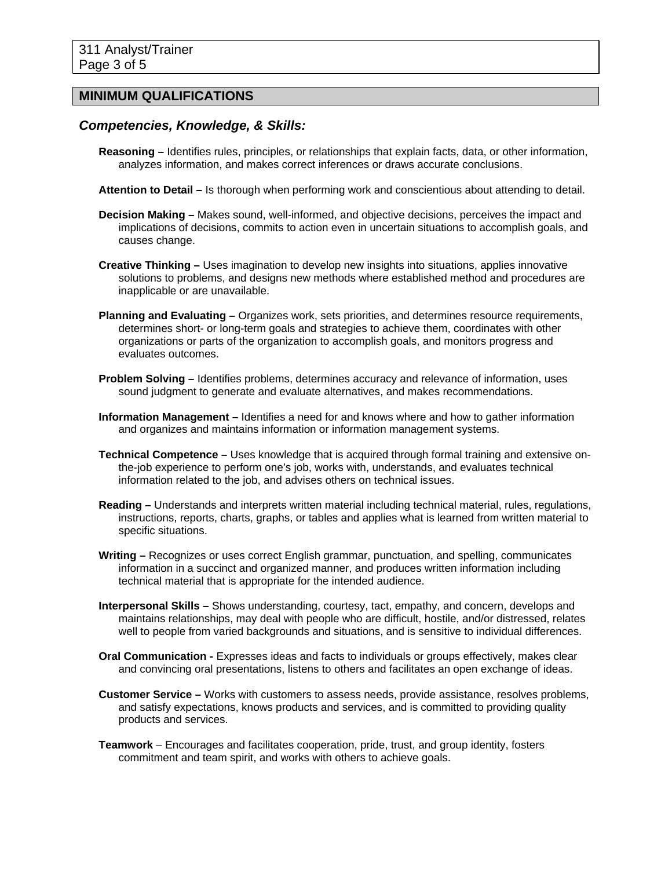### **MINIMUM QUALIFICATIONS**

### *Competencies, Knowledge, & Skills:*

- **Reasoning –** Identifies rules, principles, or relationships that explain facts, data, or other information, analyzes information, and makes correct inferences or draws accurate conclusions.
- **Attention to Detail –** Is thorough when performing work and conscientious about attending to detail.
- **Decision Making –** Makes sound, well-informed, and objective decisions, perceives the impact and implications of decisions, commits to action even in uncertain situations to accomplish goals, and causes change.
- **Creative Thinking** Uses imagination to develop new insights into situations, applies innovative solutions to problems, and designs new methods where established method and procedures are inapplicable or are unavailable.
- **Planning and Evaluating –** Organizes work, sets priorities, and determines resource requirements, determines short- or long-term goals and strategies to achieve them, coordinates with other organizations or parts of the organization to accomplish goals, and monitors progress and evaluates outcomes.
- **Problem Solving –** Identifies problems, determines accuracy and relevance of information, uses sound judgment to generate and evaluate alternatives, and makes recommendations.
- **Information Management –** Identifies a need for and knows where and how to gather information and organizes and maintains information or information management systems.
- **Technical Competence –** Uses knowledge that is acquired through formal training and extensive onthe-job experience to perform one's job, works with, understands, and evaluates technical information related to the job, and advises others on technical issues.
- **Reading –** Understands and interprets written material including technical material, rules, regulations, instructions, reports, charts, graphs, or tables and applies what is learned from written material to specific situations.
- **Writing –** Recognizes or uses correct English grammar, punctuation, and spelling, communicates information in a succinct and organized manner, and produces written information including technical material that is appropriate for the intended audience.
- **Interpersonal Skills –** Shows understanding, courtesy, tact, empathy, and concern, develops and maintains relationships, may deal with people who are difficult, hostile, and/or distressed, relates well to people from varied backgrounds and situations, and is sensitive to individual differences.
- **Oral Communication -** Expresses ideas and facts to individuals or groups effectively, makes clear and convincing oral presentations, listens to others and facilitates an open exchange of ideas.
- **Customer Service –** Works with customers to assess needs, provide assistance, resolves problems, and satisfy expectations, knows products and services, and is committed to providing quality products and services.
- **Teamwork** Encourages and facilitates cooperation, pride, trust, and group identity, fosters commitment and team spirit, and works with others to achieve goals.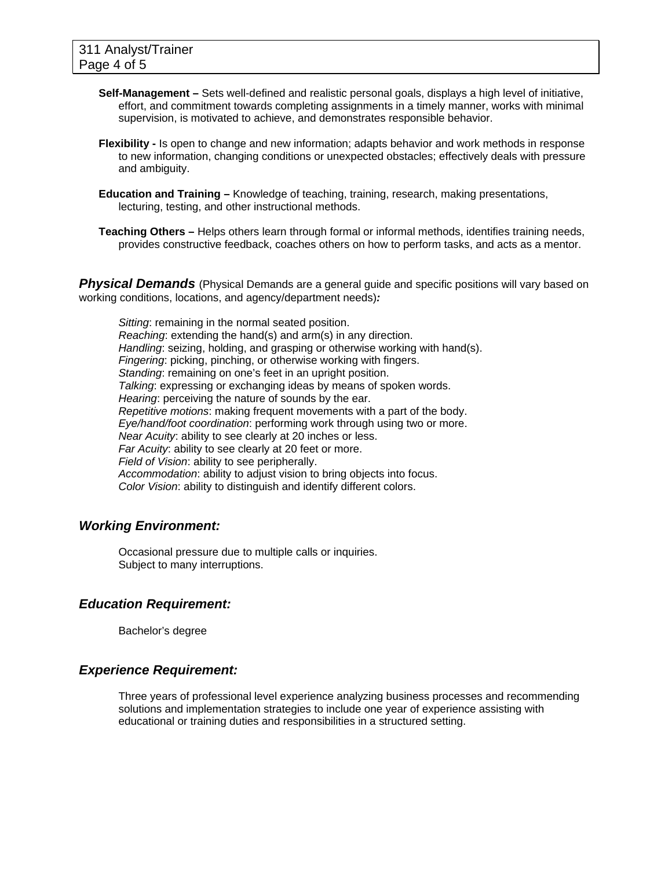- **Self-Management –** Sets well-defined and realistic personal goals, displays a high level of initiative, effort, and commitment towards completing assignments in a timely manner, works with minimal supervision, is motivated to achieve, and demonstrates responsible behavior.
- **Flexibility -** Is open to change and new information; adapts behavior and work methods in response to new information, changing conditions or unexpected obstacles; effectively deals with pressure and ambiguity.
- **Education and Training** Knowledge of teaching, training, research, making presentations, lecturing, testing, and other instructional methods.
- **Teaching Others** Helps others learn through formal or informal methods, identifies training needs, provides constructive feedback, coaches others on how to perform tasks, and acts as a mentor.

**Physical Demands** (Physical Demands are a general guide and specific positions will vary based on working conditions, locations, and agency/department needs)*:* 

*Sitting*: remaining in the normal seated position. *Reaching*: extending the hand(s) and arm(s) in any direction. *Handling*: seizing, holding, and grasping or otherwise working with hand(s). *Fingering*: picking, pinching, or otherwise working with fingers. *Standing*: remaining on one's feet in an upright position. *Talking*: expressing or exchanging ideas by means of spoken words. *Hearing*: perceiving the nature of sounds by the ear. *Repetitive motions*: making frequent movements with a part of the body. *Eye/hand/foot coordination*: performing work through using two or more. *Near Acuity*: ability to see clearly at 20 inches or less. *Far Acuity*: ability to see clearly at 20 feet or more. *Field of Vision*: ability to see peripherally. *Accommodation*: ability to adjust vision to bring objects into focus. *Color Vision*: ability to distinguish and identify different colors.

### *Working Environment:*

Occasional pressure due to multiple calls or inquiries. Subject to many interruptions.

### *Education Requirement:*

Bachelor's degree

### *Experience Requirement:*

Three years of professional level experience analyzing business processes and recommending solutions and implementation strategies to include one year of experience assisting with educational or training duties and responsibilities in a structured setting.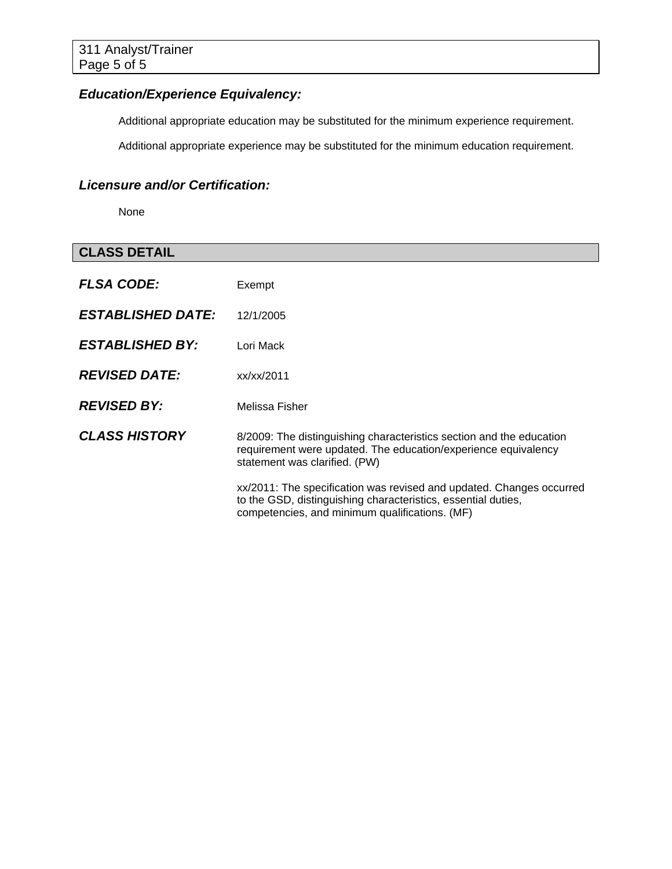# *Education/Experience Equivalency:*

Additional appropriate education may be substituted for the minimum experience requirement.

Additional appropriate experience may be substituted for the minimum education requirement.

# *Licensure and/or Certification:*

None

| <b>CLASS DETAIL</b>             |                                                                                                                                                                                         |
|---------------------------------|-----------------------------------------------------------------------------------------------------------------------------------------------------------------------------------------|
| <b>FLSA CODE:</b>               | Exempt                                                                                                                                                                                  |
| <i><b>ESTABLISHED DATE:</b></i> | 12/1/2005                                                                                                                                                                               |
| <b>ESTABLISHED BY:</b>          | Lori Mack                                                                                                                                                                               |
| <b>REVISED DATE:</b>            | xx/xx/2011                                                                                                                                                                              |
| <b>REVISED BY:</b>              | Melissa Fisher                                                                                                                                                                          |
| <b>CLASS HISTORY</b>            | 8/2009: The distinguishing characteristics section and the education<br>requirement were updated. The education/experience equivalency<br>statement was clarified. (PW)                 |
|                                 | xx/2011: The specification was revised and updated. Changes occurred<br>to the GSD, distinguishing characteristics, essential duties,<br>competencies, and minimum qualifications. (MF) |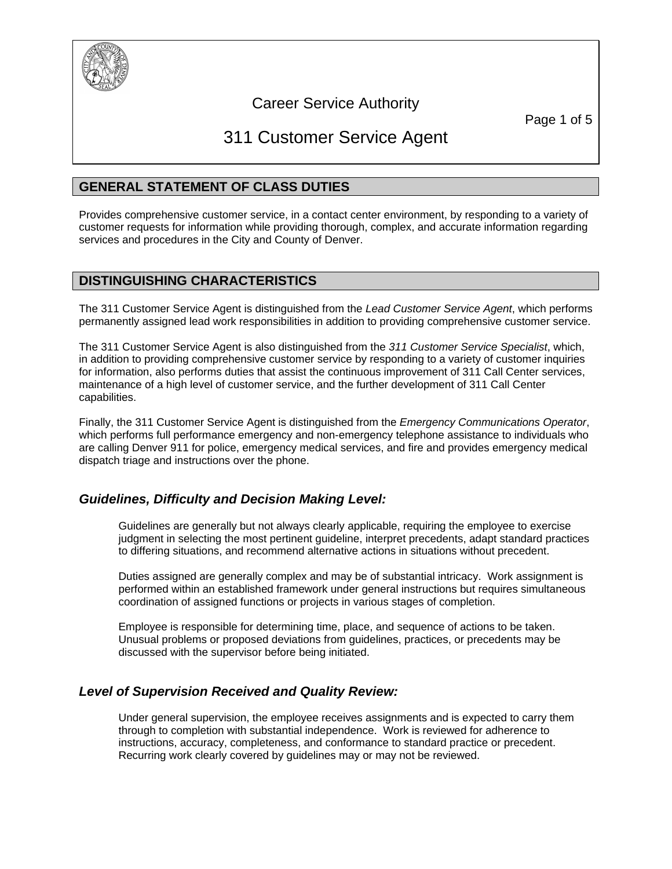

# Career Service Authority

Page 1 of 5

# 311 Customer Service Agent

### **GENERAL STATEMENT OF CLASS DUTIES**

Provides comprehensive customer service, in a contact center environment, by responding to a variety of customer requests for information while providing thorough, complex, and accurate information regarding services and procedures in the City and County of Denver.

### **DISTINGUISHING CHARACTERISTICS**

The 311 Customer Service Agent is distinguished from the *Lead Customer Service Agent*, which performs permanently assigned lead work responsibilities in addition to providing comprehensive customer service.

The 311 Customer Service Agent is also distinguished from the *311 Customer Service Specialist*, which, in addition to providing comprehensive customer service by responding to a variety of customer inquiries for information, also performs duties that assist the continuous improvement of 311 Call Center services, maintenance of a high level of customer service, and the further development of 311 Call Center capabilities.

Finally, the 311 Customer Service Agent is distinguished from the *Emergency Communications Operator*, which performs full performance emergency and non-emergency telephone assistance to individuals who are calling Denver 911 for police, emergency medical services, and fire and provides emergency medical dispatch triage and instructions over the phone.

### *Guidelines, Difficulty and Decision Making Level:*

Guidelines are generally but not always clearly applicable, requiring the employee to exercise judgment in selecting the most pertinent guideline, interpret precedents, adapt standard practices to differing situations, and recommend alternative actions in situations without precedent.

Duties assigned are generally complex and may be of substantial intricacy. Work assignment is performed within an established framework under general instructions but requires simultaneous coordination of assigned functions or projects in various stages of completion.

Employee is responsible for determining time, place, and sequence of actions to be taken. Unusual problems or proposed deviations from guidelines, practices, or precedents may be discussed with the supervisor before being initiated.

### *Level of Supervision Received and Quality Review:*

Under general supervision, the employee receives assignments and is expected to carry them through to completion with substantial independence. Work is reviewed for adherence to instructions, accuracy, completeness, and conformance to standard practice or precedent. Recurring work clearly covered by guidelines may or may not be reviewed.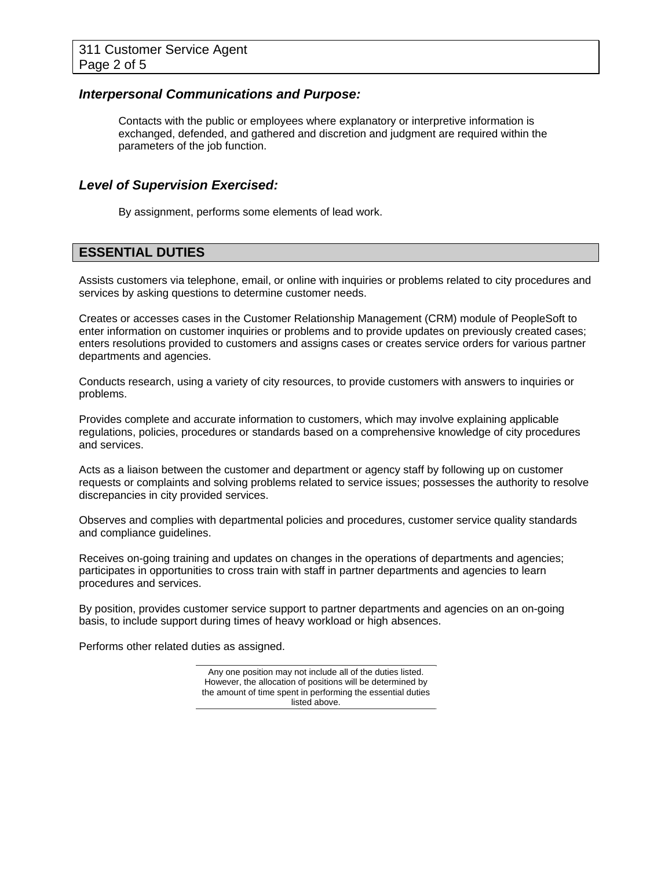### *Interpersonal Communications and Purpose:*

Contacts with the public or employees where explanatory or interpretive information is exchanged, defended, and gathered and discretion and judgment are required within the parameters of the job function.

#### *Level of Supervision Exercised:*

By assignment, performs some elements of lead work.

### **ESSENTIAL DUTIES**

Assists customers via telephone, email, or online with inquiries or problems related to city procedures and services by asking questions to determine customer needs.

Creates or accesses cases in the Customer Relationship Management (CRM) module of PeopleSoft to enter information on customer inquiries or problems and to provide updates on previously created cases; enters resolutions provided to customers and assigns cases or creates service orders for various partner departments and agencies.

Conducts research, using a variety of city resources, to provide customers with answers to inquiries or problems.

Provides complete and accurate information to customers, which may involve explaining applicable regulations, policies, procedures or standards based on a comprehensive knowledge of city procedures and services.

Acts as a liaison between the customer and department or agency staff by following up on customer requests or complaints and solving problems related to service issues; possesses the authority to resolve discrepancies in city provided services.

Observes and complies with departmental policies and procedures, customer service quality standards and compliance guidelines.

Receives on-going training and updates on changes in the operations of departments and agencies; participates in opportunities to cross train with staff in partner departments and agencies to learn procedures and services.

By position, provides customer service support to partner departments and agencies on an on-going basis, to include support during times of heavy workload or high absences.

Performs other related duties as assigned.

Any one position may not include all of the duties listed. However, the allocation of positions will be determined by the amount of time spent in performing the essential duties listed above.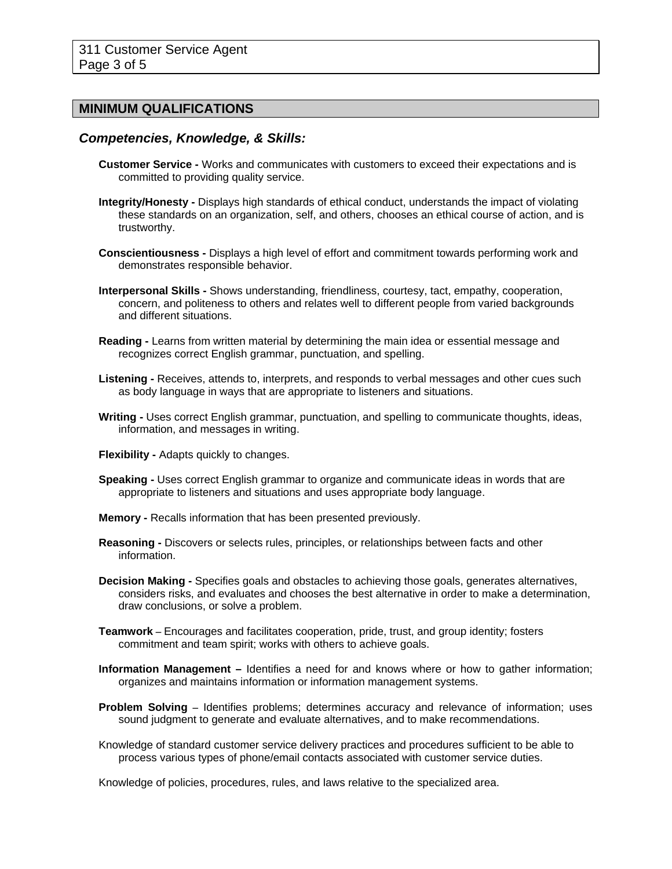### **MINIMUM QUALIFICATIONS**

### *Competencies, Knowledge, & Skills:*

- **Customer Service** Works and communicates with customers to exceed their expectations and is committed to providing quality service.
- **Integrity/Honesty -** Displays high standards of ethical conduct, understands the impact of violating these standards on an organization, self, and others, chooses an ethical course of action, and is trustworthy.
- **Conscientiousness -** Displays a high level of effort and commitment towards performing work and demonstrates responsible behavior.
- **Interpersonal Skills** Shows understanding, friendliness, courtesy, tact, empathy, cooperation, concern, and politeness to others and relates well to different people from varied backgrounds and different situations.
- **Reading -** Learns from written material by determining the main idea or essential message and recognizes correct English grammar, punctuation, and spelling.
- **Listening -** Receives, attends to, interprets, and responds to verbal messages and other cues such as body language in ways that are appropriate to listeners and situations.
- **Writing -** Uses correct English grammar, punctuation, and spelling to communicate thoughts, ideas, information, and messages in writing.
- **Flexibility -** Adapts quickly to changes.
- **Speaking -** Uses correct English grammar to organize and communicate ideas in words that are appropriate to listeners and situations and uses appropriate body language.
- **Memory** Recalls information that has been presented previously.
- **Reasoning -** Discovers or selects rules, principles, or relationships between facts and other information.
- **Decision Making -** Specifies goals and obstacles to achieving those goals, generates alternatives, considers risks, and evaluates and chooses the best alternative in order to make a determination, draw conclusions, or solve a problem.
- **Teamwork** Encourages and facilitates cooperation, pride, trust, and group identity; fosters commitment and team spirit; works with others to achieve goals.
- **Information Management** Identifies a need for and knows where or how to gather information; organizes and maintains information or information management systems.
- **Problem Solving** Identifies problems; determines accuracy and relevance of information; uses sound judgment to generate and evaluate alternatives, and to make recommendations.
- Knowledge of standard customer service delivery practices and procedures sufficient to be able to process various types of phone/email contacts associated with customer service duties.

Knowledge of policies, procedures, rules, and laws relative to the specialized area.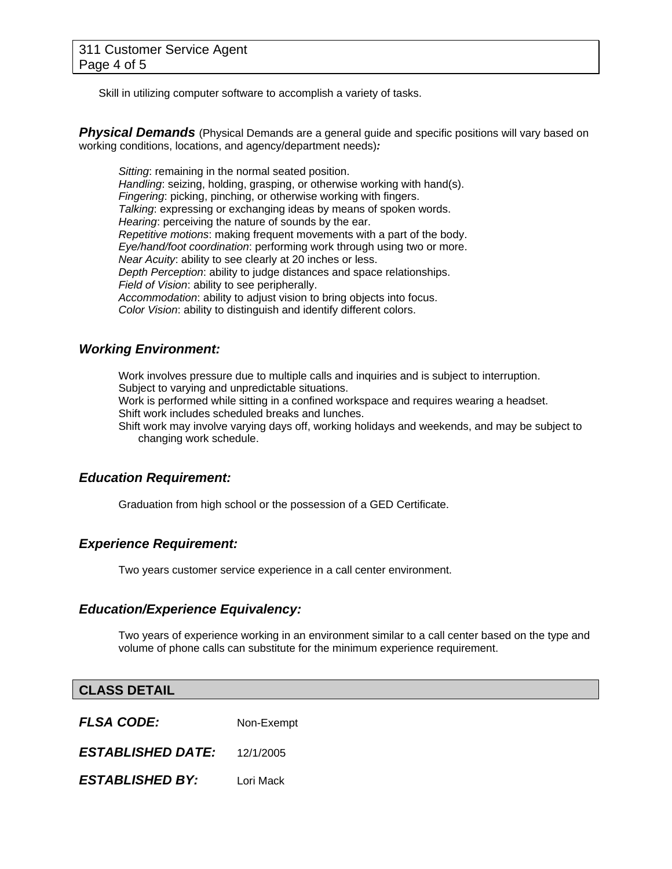Skill in utilizing computer software to accomplish a variety of tasks.

**Physical Demands** (Physical Demands are a general guide and specific positions will vary based on working conditions, locations, and agency/department needs)*:* 

*Sitting*: remaining in the normal seated position. *Handling*: seizing, holding, grasping, or otherwise working with hand(s). *Fingering*: picking, pinching, or otherwise working with fingers. *Talking*: expressing or exchanging ideas by means of spoken words. *Hearing*: perceiving the nature of sounds by the ear. *Repetitive motions*: making frequent movements with a part of the body. *Eye/hand/foot coordination*: performing work through using two or more. *Near Acuity*: ability to see clearly at 20 inches or less. *Depth Perception*: ability to judge distances and space relationships. *Field of Vision*: ability to see peripherally. *Accommodation*: ability to adjust vision to bring objects into focus. *Color Vision*: ability to distinguish and identify different colors.

### *Working Environment:*

Work involves pressure due to multiple calls and inquiries and is subject to interruption. Subject to varying and unpredictable situations.

Work is performed while sitting in a confined workspace and requires wearing a headset. Shift work includes scheduled breaks and lunches.

Shift work may involve varying days off, working holidays and weekends, and may be subject to changing work schedule.

### *Education Requirement:*

Graduation from high school or the possession of a GED Certificate.

### *Experience Requirement:*

Two years customer service experience in a call center environment.

### *Education/Experience Equivalency:*

Two years of experience working in an environment similar to a call center based on the type and volume of phone calls can substitute for the minimum experience requirement.

### **CLASS DETAIL**

*FLSA CODE:*Non-Exempt

*ESTABLISHED DATE:* 12/1/2005

*ESTABLISHED BY:* Lori Mack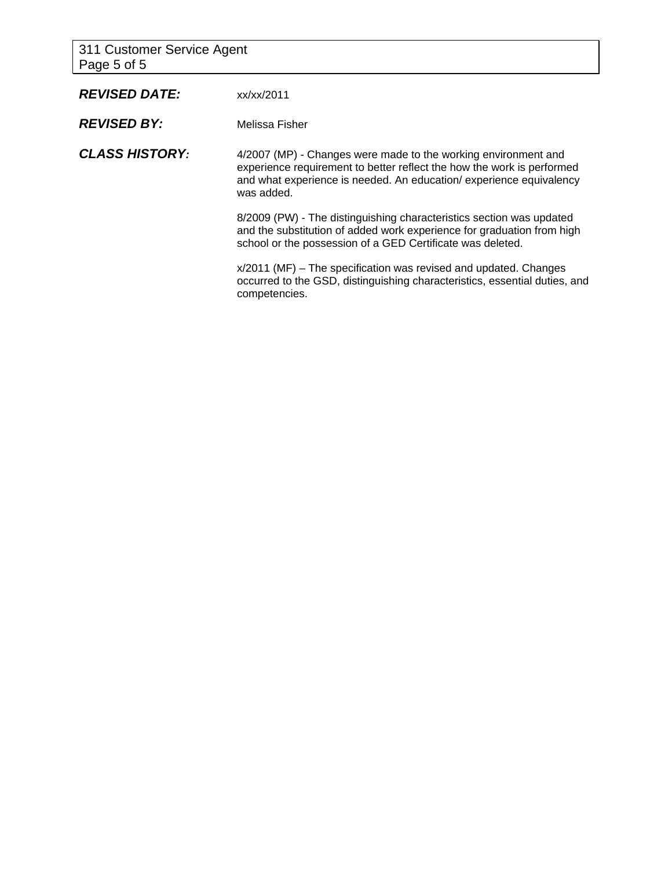311 Customer Service Agent Page 5 of 5

| <b>REVISED DATE:</b>  | xx/xx/2011                                                                                                                                                                                                                   |
|-----------------------|------------------------------------------------------------------------------------------------------------------------------------------------------------------------------------------------------------------------------|
| <b>REVISED BY:</b>    | Melissa Fisher                                                                                                                                                                                                               |
| <b>CLASS HISTORY:</b> | 4/2007 (MP) - Changes were made to the working environment and<br>experience requirement to better reflect the how the work is performed<br>and what experience is needed. An education/experience equivalency<br>was added. |
|                       | 8/2009 (PW) - The distinguishing characteristics section was updated<br>and the substitution of added work experience for graduation from high<br>school or the possession of a GED Certificate was deleted.                 |
|                       | $x/2011$ (MF) – The specification was revised and updated. Changes<br>occurred to the GSD, distinguishing characteristics, essential duties, and<br>competencies.                                                            |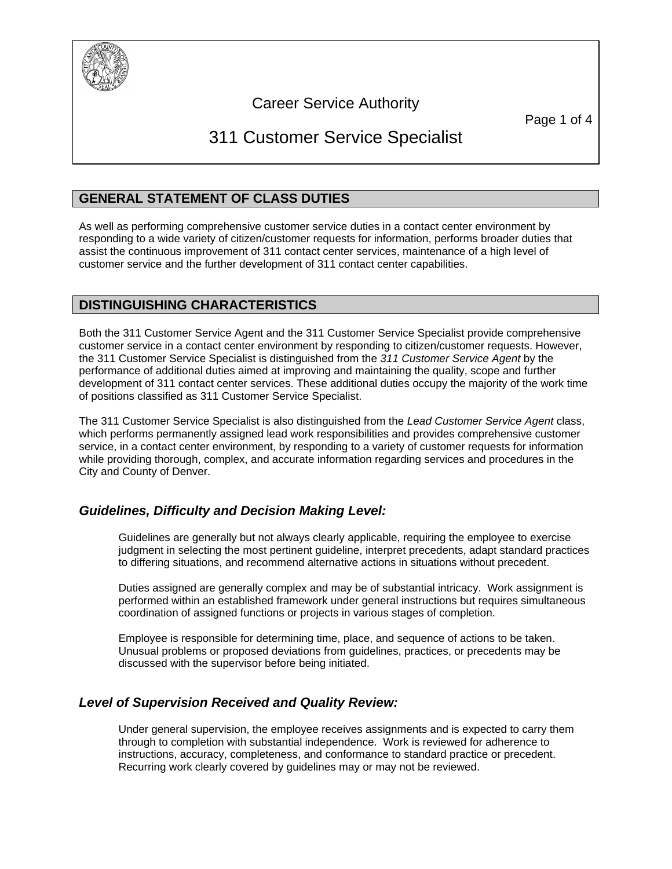

# Career Service Authority

Page 1 of 4

# 311 Customer Service Specialist

### **GENERAL STATEMENT OF CLASS DUTIES**

As well as performing comprehensive customer service duties in a contact center environment by responding to a wide variety of citizen/customer requests for information, performs broader duties that assist the continuous improvement of 311 contact center services, maintenance of a high level of customer service and the further development of 311 contact center capabilities.

# **DISTINGUISHING CHARACTERISTICS**

Both the 311 Customer Service Agent and the 311 Customer Service Specialist provide comprehensive customer service in a contact center environment by responding to citizen/customer requests. However, the 311 Customer Service Specialist is distinguished from the *311 Customer Service Agent* by the performance of additional duties aimed at improving and maintaining the quality, scope and further development of 311 contact center services. These additional duties occupy the majority of the work time of positions classified as 311 Customer Service Specialist.

The 311 Customer Service Specialist is also distinguished from the *Lead Customer Service Agent* class, which performs permanently assigned lead work responsibilities and provides comprehensive customer service, in a contact center environment, by responding to a variety of customer requests for information while providing thorough, complex, and accurate information regarding services and procedures in the City and County of Denver.

### *Guidelines, Difficulty and Decision Making Level:*

Guidelines are generally but not always clearly applicable, requiring the employee to exercise judgment in selecting the most pertinent guideline, interpret precedents, adapt standard practices to differing situations, and recommend alternative actions in situations without precedent.

Duties assigned are generally complex and may be of substantial intricacy. Work assignment is performed within an established framework under general instructions but requires simultaneous coordination of assigned functions or projects in various stages of completion.

Employee is responsible for determining time, place, and sequence of actions to be taken. Unusual problems or proposed deviations from guidelines, practices, or precedents may be discussed with the supervisor before being initiated.

### *Level of Supervision Received and Quality Review:*

Under general supervision, the employee receives assignments and is expected to carry them through to completion with substantial independence. Work is reviewed for adherence to instructions, accuracy, completeness, and conformance to standard practice or precedent. Recurring work clearly covered by guidelines may or may not be reviewed.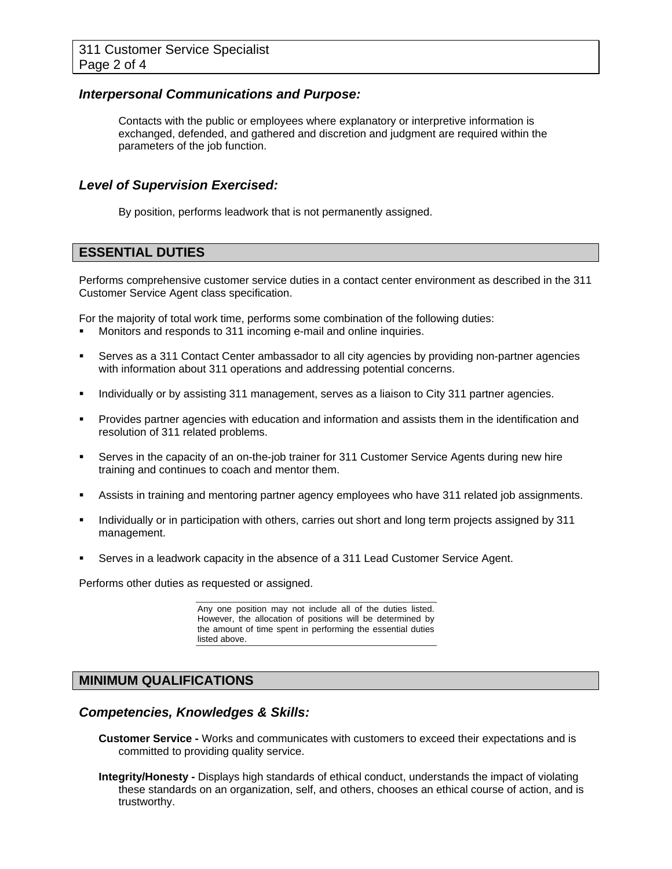### *Interpersonal Communications and Purpose:*

Contacts with the public or employees where explanatory or interpretive information is exchanged, defended, and gathered and discretion and judgment are required within the parameters of the job function.

### *Level of Supervision Exercised:*

By position, performs leadwork that is not permanently assigned.

### **ESSENTIAL DUTIES**

Performs comprehensive customer service duties in a contact center environment as described in the 311 Customer Service Agent class specification.

For the majority of total work time, performs some combination of the following duties:

- Monitors and responds to 311 incoming e-mail and online inquiries.
- Serves as a 311 Contact Center ambassador to all city agencies by providing non-partner agencies with information about 311 operations and addressing potential concerns.
- Individually or by assisting 311 management, serves as a liaison to City 311 partner agencies.
- Provides partner agencies with education and information and assists them in the identification and resolution of 311 related problems.
- Serves in the capacity of an on-the-job trainer for 311 Customer Service Agents during new hire training and continues to coach and mentor them.
- Assists in training and mentoring partner agency employees who have 311 related job assignments.
- Individually or in participation with others, carries out short and long term projects assigned by 311 management.
- Serves in a leadwork capacity in the absence of a 311 Lead Customer Service Agent.

Performs other duties as requested or assigned.

Any one position may not include all of the duties listed. However, the allocation of positions will be determined by the amount of time spent in performing the essential duties listed above.

### **MINIMUM QUALIFICATIONS**

### *Competencies, Knowledges & Skills:*

- **Customer Service** Works and communicates with customers to exceed their expectations and is committed to providing quality service.
- **Integrity/Honesty** Displays high standards of ethical conduct, understands the impact of violating these standards on an organization, self, and others, chooses an ethical course of action, and is trustworthy.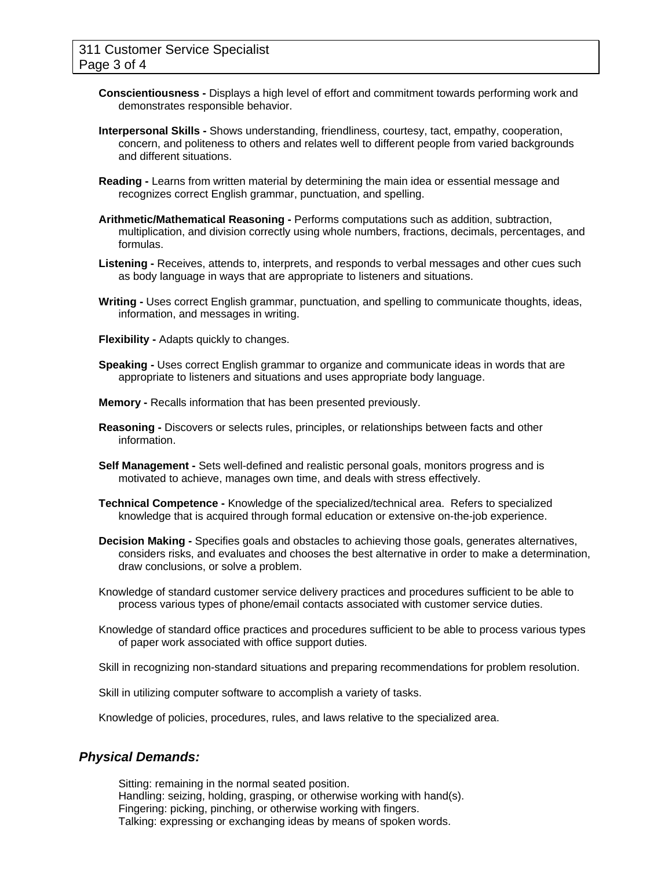- **Conscientiousness** Displays a high level of effort and commitment towards performing work and demonstrates responsible behavior.
- **Interpersonal Skills** Shows understanding, friendliness, courtesy, tact, empathy, cooperation, concern, and politeness to others and relates well to different people from varied backgrounds and different situations.
- **Reading** Learns from written material by determining the main idea or essential message and recognizes correct English grammar, punctuation, and spelling.
- **Arithmetic/Mathematical Reasoning** Performs computations such as addition, subtraction, multiplication, and division correctly using whole numbers, fractions, decimals, percentages, and formulas.
- **Listening** Receives, attends to, interprets, and responds to verbal messages and other cues such as body language in ways that are appropriate to listeners and situations.
- **Writing** Uses correct English grammar, punctuation, and spelling to communicate thoughts, ideas, information, and messages in writing.
- **Flexibility** Adapts quickly to changes.
- **Speaking** Uses correct English grammar to organize and communicate ideas in words that are appropriate to listeners and situations and uses appropriate body language.
- **Memory** Recalls information that has been presented previously.
- **Reasoning** Discovers or selects rules, principles, or relationships between facts and other information.
- **Self Management** Sets well-defined and realistic personal goals, monitors progress and is motivated to achieve, manages own time, and deals with stress effectively.
- **Technical Competence** Knowledge of the specialized/technical area. Refers to specialized knowledge that is acquired through formal education or extensive on-the-job experience.
- **Decision Making** Specifies goals and obstacles to achieving those goals, generates alternatives, considers risks, and evaluates and chooses the best alternative in order to make a determination, draw conclusions, or solve a problem.
- Knowledge of standard customer service delivery practices and procedures sufficient to be able to process various types of phone/email contacts associated with customer service duties.
- Knowledge of standard office practices and procedures sufficient to be able to process various types of paper work associated with office support duties.

Skill in recognizing non-standard situations and preparing recommendations for problem resolution.

Skill in utilizing computer software to accomplish a variety of tasks.

Knowledge of policies, procedures, rules, and laws relative to the specialized area.

### *Physical Demands:*

Sitting: remaining in the normal seated position. Handling: seizing, holding, grasping, or otherwise working with hand(s). Fingering: picking, pinching, or otherwise working with fingers. Talking: expressing or exchanging ideas by means of spoken words.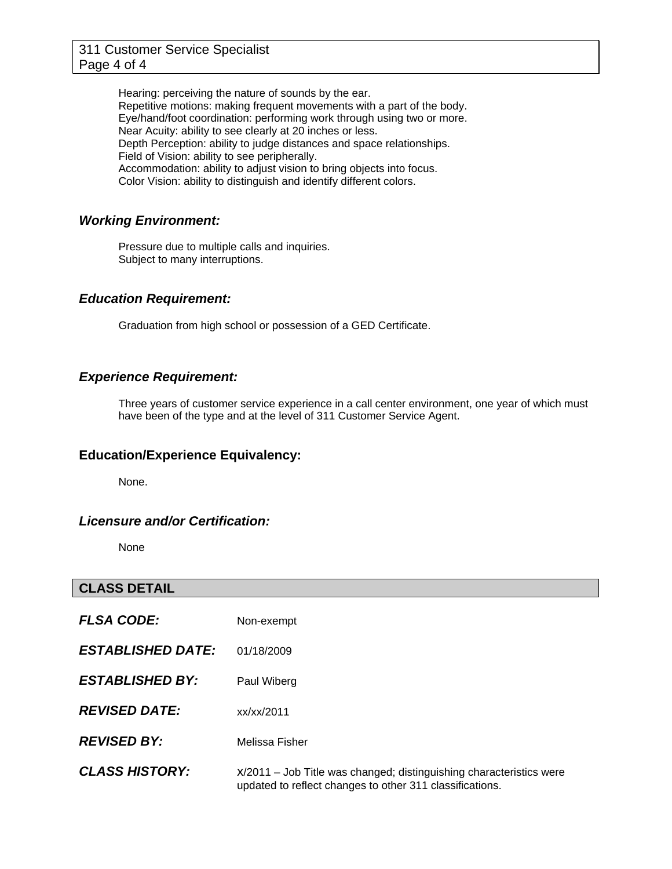Hearing: perceiving the nature of sounds by the ear. Repetitive motions: making frequent movements with a part of the body. Eye/hand/foot coordination: performing work through using two or more. Near Acuity: ability to see clearly at 20 inches or less. Depth Perception: ability to judge distances and space relationships. Field of Vision: ability to see peripherally. Accommodation: ability to adjust vision to bring objects into focus. Color Vision: ability to distinguish and identify different colors.

### *Working Environment:*

Pressure due to multiple calls and inquiries. Subject to many interruptions.

### *Education Requirement:*

Graduation from high school or possession of a GED Certificate.

### *Experience Requirement:*

Three years of customer service experience in a call center environment, one year of which must have been of the type and at the level of 311 Customer Service Agent.

### **Education/Experience Equivalency:**

None.

### *Licensure and/or Certification:*

None

### **CLASS DETAIL**

**FLSA CODE:** Non-exempt *ESTABLISHED DATE:* 01/18/2009 *ESTABLISHED BY:* Paul Wiberg *REVISED DATE:* xx/xx/2011 *REVISED BY:* Melissa Fisher

**CLASS HISTORY:** x/2011 – Job Title was changed; distinguishing characteristics were updated to reflect changes to other 311 classifications.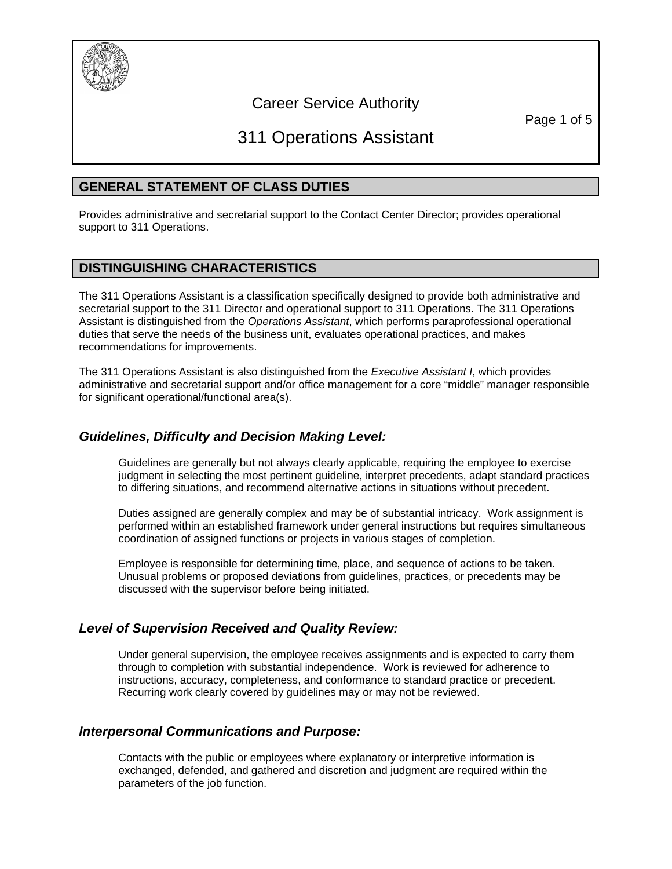

# Career Service Authority

Page 1 of 5

# 311 Operations Assistant

# **GENERAL STATEMENT OF CLASS DUTIES**

Provides administrative and secretarial support to the Contact Center Director; provides operational support to 311 Operations.

# **DISTINGUISHING CHARACTERISTICS**

The 311 Operations Assistant is a classification specifically designed to provide both administrative and secretarial support to the 311 Director and operational support to 311 Operations. The 311 Operations Assistant is distinguished from the *Operations Assistant*, which performs paraprofessional operational duties that serve the needs of the business unit, evaluates operational practices, and makes recommendations for improvements.

The 311 Operations Assistant is also distinguished from the *Executive Assistant I*, which provides administrative and secretarial support and/or office management for a core "middle" manager responsible for significant operational/functional area(s).

### *Guidelines, Difficulty and Decision Making Level:*

Guidelines are generally but not always clearly applicable, requiring the employee to exercise judgment in selecting the most pertinent guideline, interpret precedents, adapt standard practices to differing situations, and recommend alternative actions in situations without precedent.

Duties assigned are generally complex and may be of substantial intricacy. Work assignment is performed within an established framework under general instructions but requires simultaneous coordination of assigned functions or projects in various stages of completion.

Employee is responsible for determining time, place, and sequence of actions to be taken. Unusual problems or proposed deviations from guidelines, practices, or precedents may be discussed with the supervisor before being initiated.

### *Level of Supervision Received and Quality Review:*

Under general supervision, the employee receives assignments and is expected to carry them through to completion with substantial independence. Work is reviewed for adherence to instructions, accuracy, completeness, and conformance to standard practice or precedent. Recurring work clearly covered by guidelines may or may not be reviewed.

### *Interpersonal Communications and Purpose:*

Contacts with the public or employees where explanatory or interpretive information is exchanged, defended, and gathered and discretion and judgment are required within the parameters of the job function.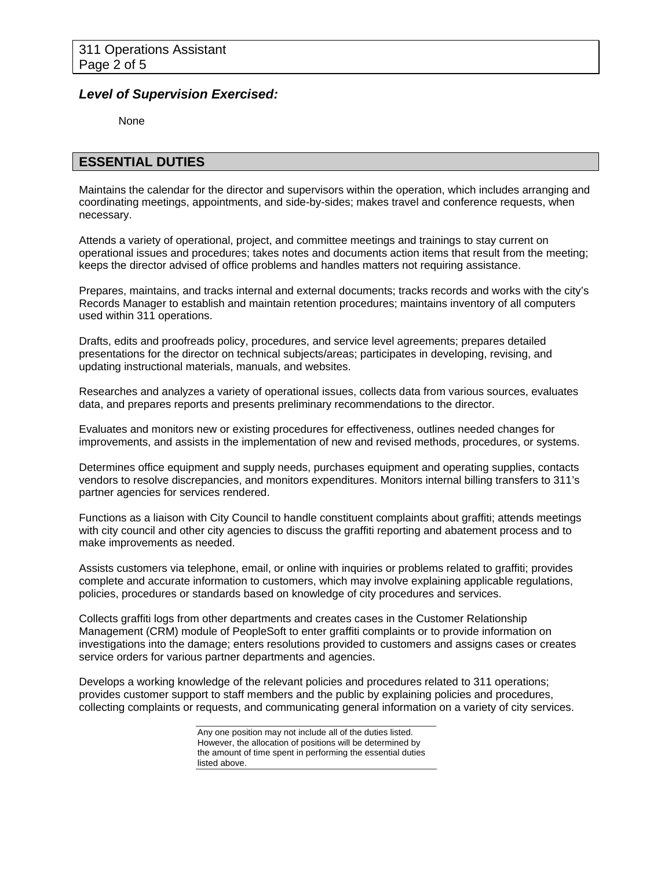### *Level of Supervision Exercised:*

None

### **ESSENTIAL DUTIES**

Maintains the calendar for the director and supervisors within the operation, which includes arranging and coordinating meetings, appointments, and side-by-sides; makes travel and conference requests, when necessary.

Attends a variety of operational, project, and committee meetings and trainings to stay current on operational issues and procedures; takes notes and documents action items that result from the meeting; keeps the director advised of office problems and handles matters not requiring assistance.

Prepares, maintains, and tracks internal and external documents; tracks records and works with the city's Records Manager to establish and maintain retention procedures; maintains inventory of all computers used within 311 operations.

Drafts, edits and proofreads policy, procedures, and service level agreements; prepares detailed presentations for the director on technical subjects/areas; participates in developing, revising, and updating instructional materials, manuals, and websites.

Researches and analyzes a variety of operational issues, collects data from various sources, evaluates data, and prepares reports and presents preliminary recommendations to the director.

Evaluates and monitors new or existing procedures for effectiveness, outlines needed changes for improvements, and assists in the implementation of new and revised methods, procedures, or systems.

Determines office equipment and supply needs, purchases equipment and operating supplies, contacts vendors to resolve discrepancies, and monitors expenditures. Monitors internal billing transfers to 311's partner agencies for services rendered.

Functions as a liaison with City Council to handle constituent complaints about graffiti; attends meetings with city council and other city agencies to discuss the graffiti reporting and abatement process and to make improvements as needed.

Assists customers via telephone, email, or online with inquiries or problems related to graffiti; provides complete and accurate information to customers, which may involve explaining applicable regulations, policies, procedures or standards based on knowledge of city procedures and services.

Collects graffiti logs from other departments and creates cases in the Customer Relationship Management (CRM) module of PeopleSoft to enter graffiti complaints or to provide information on investigations into the damage; enters resolutions provided to customers and assigns cases or creates service orders for various partner departments and agencies.

Develops a working knowledge of the relevant policies and procedures related to 311 operations; provides customer support to staff members and the public by explaining policies and procedures, collecting complaints or requests, and communicating general information on a variety of city services.

Any one position may not include all of the duties listed. However, the allocation of positions will be determined by the amount of time spent in performing the essential duties listed above.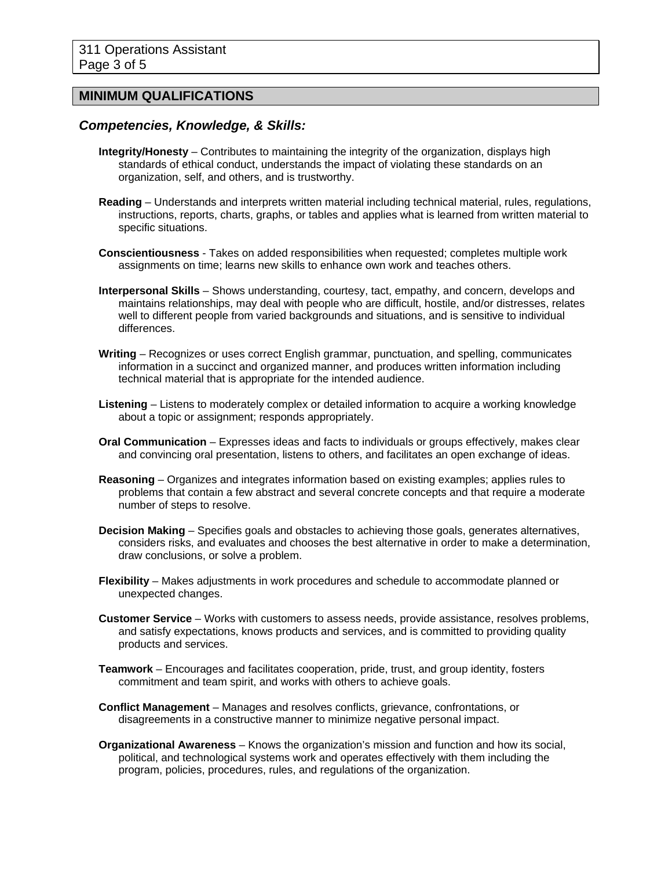### **MINIMUM QUALIFICATIONS**

### *Competencies, Knowledge, & Skills:*

- **Integrity/Honesty** Contributes to maintaining the integrity of the organization, displays high standards of ethical conduct, understands the impact of violating these standards on an organization, self, and others, and is trustworthy.
- **Reading** Understands and interprets written material including technical material, rules, regulations, instructions, reports, charts, graphs, or tables and applies what is learned from written material to specific situations.
- **Conscientiousness** Takes on added responsibilities when requested; completes multiple work assignments on time; learns new skills to enhance own work and teaches others.
- **Interpersonal Skills** Shows understanding, courtesy, tact, empathy, and concern, develops and maintains relationships, may deal with people who are difficult, hostile, and/or distresses, relates well to different people from varied backgrounds and situations, and is sensitive to individual differences.
- **Writing** Recognizes or uses correct English grammar, punctuation, and spelling, communicates information in a succinct and organized manner, and produces written information including technical material that is appropriate for the intended audience.
- **Listening** Listens to moderately complex or detailed information to acquire a working knowledge about a topic or assignment; responds appropriately.
- **Oral Communication** Expresses ideas and facts to individuals or groups effectively, makes clear and convincing oral presentation, listens to others, and facilitates an open exchange of ideas.
- **Reasoning** Organizes and integrates information based on existing examples; applies rules to problems that contain a few abstract and several concrete concepts and that require a moderate number of steps to resolve.
- **Decision Making** Specifies goals and obstacles to achieving those goals, generates alternatives, considers risks, and evaluates and chooses the best alternative in order to make a determination, draw conclusions, or solve a problem.
- **Flexibility**  Makes adjustments in work procedures and schedule to accommodate planned or unexpected changes.
- **Customer Service** Works with customers to assess needs, provide assistance, resolves problems, and satisfy expectations, knows products and services, and is committed to providing quality products and services.
- **Teamwork**  Encourages and facilitates cooperation, pride, trust, and group identity, fosters commitment and team spirit, and works with others to achieve goals.
- **Conflict Management** Manages and resolves conflicts, grievance, confrontations, or disagreements in a constructive manner to minimize negative personal impact.
- **Organizational Awareness** Knows the organization's mission and function and how its social, political, and technological systems work and operates effectively with them including the program, policies, procedures, rules, and regulations of the organization.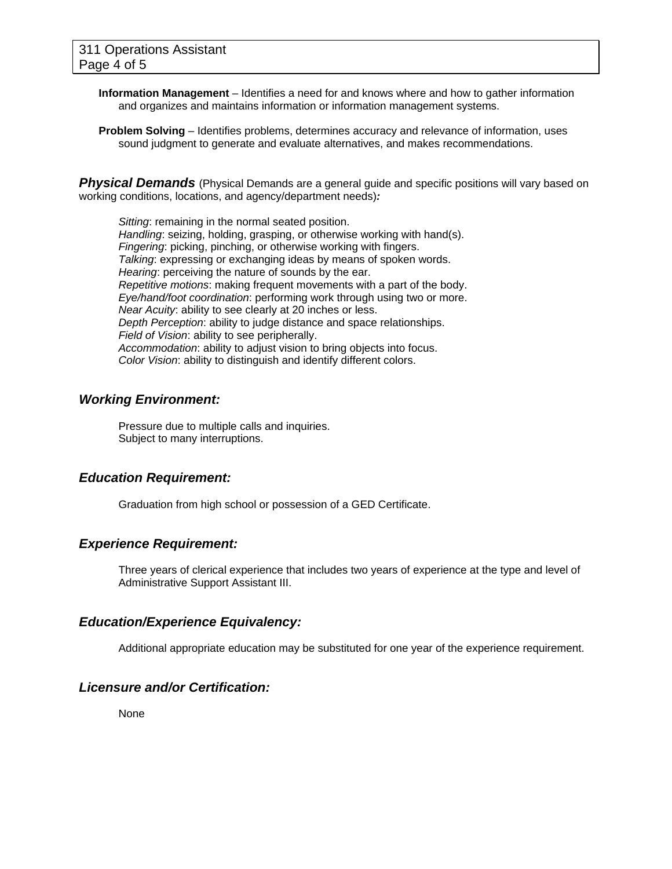- **Information Management** Identifies a need for and knows where and how to gather information and organizes and maintains information or information management systems.
- **Problem Solving** Identifies problems, determines accuracy and relevance of information, uses sound judgment to generate and evaluate alternatives, and makes recommendations.

**Physical Demands** (Physical Demands are a general guide and specific positions will vary based on working conditions, locations, and agency/department needs)*:* 

*Sitting*: remaining in the normal seated position. *Handling*: seizing, holding, grasping, or otherwise working with hand(s). *Fingering*: picking, pinching, or otherwise working with fingers. *Talking*: expressing or exchanging ideas by means of spoken words. *Hearing*: perceiving the nature of sounds by the ear. *Repetitive motions*: making frequent movements with a part of the body. *Eye/hand/foot coordination*: performing work through using two or more. *Near Acuity*: ability to see clearly at 20 inches or less. *Depth Perception*: ability to judge distance and space relationships. *Field of Vision*: ability to see peripherally. *Accommodation*: ability to adjust vision to bring objects into focus. *Color Vision*: ability to distinguish and identify different colors.

### *Working Environment:*

Pressure due to multiple calls and inquiries. Subject to many interruptions.

### *Education Requirement:*

Graduation from high school or possession of a GED Certificate.

### *Experience Requirement:*

Three years of clerical experience that includes two years of experience at the type and level of Administrative Support Assistant III.

### *Education/Experience Equivalency:*

Additional appropriate education may be substituted for one year of the experience requirement.

### *Licensure and/or Certification:*

None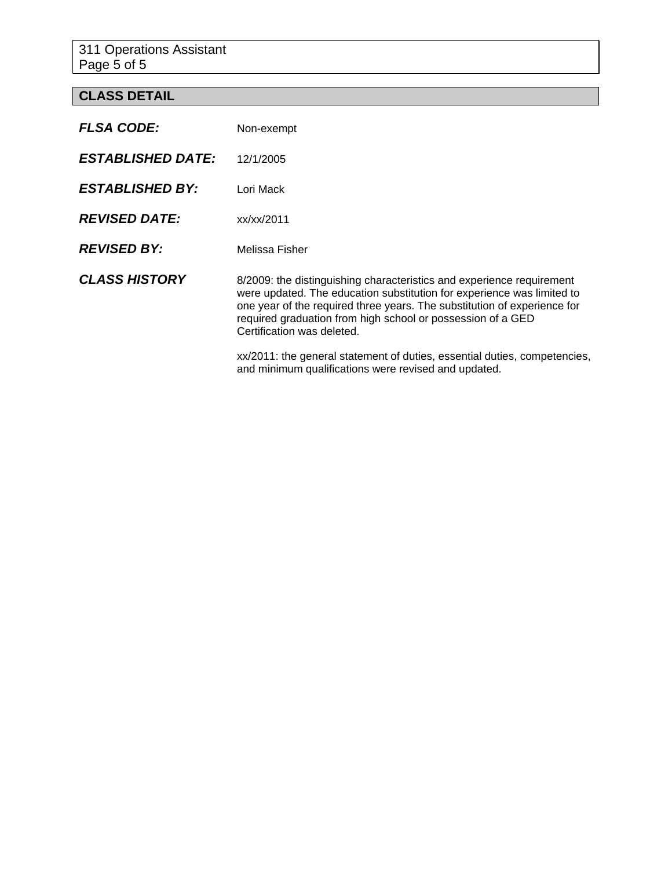311 Operations Assistant Page 5 of 5

# **CLASS DETAIL**

| <b>FLSA CODE:</b>        | Non-exempt                                                                                                                                                                                                                                                                                                               |
|--------------------------|--------------------------------------------------------------------------------------------------------------------------------------------------------------------------------------------------------------------------------------------------------------------------------------------------------------------------|
| <b>ESTABLISHED DATE:</b> | 12/1/2005                                                                                                                                                                                                                                                                                                                |
| <b>ESTABLISHED BY:</b>   | Lori Mack                                                                                                                                                                                                                                                                                                                |
| <b>REVISED DATE:</b>     | xx/xx/2011                                                                                                                                                                                                                                                                                                               |
| <b>REVISED BY:</b>       | Melissa Fisher                                                                                                                                                                                                                                                                                                           |
| <b>CLASS HISTORY</b>     | 8/2009: the distinguishing characteristics and experience requirement<br>were updated. The education substitution for experience was limited to<br>one year of the required three years. The substitution of experience for<br>required graduation from high school or possession of a GED<br>Certification was deleted. |
|                          | xx/2011: the general statement of duties, essential duties, competencies,<br>and minimum qualifications were revised and updated.                                                                                                                                                                                        |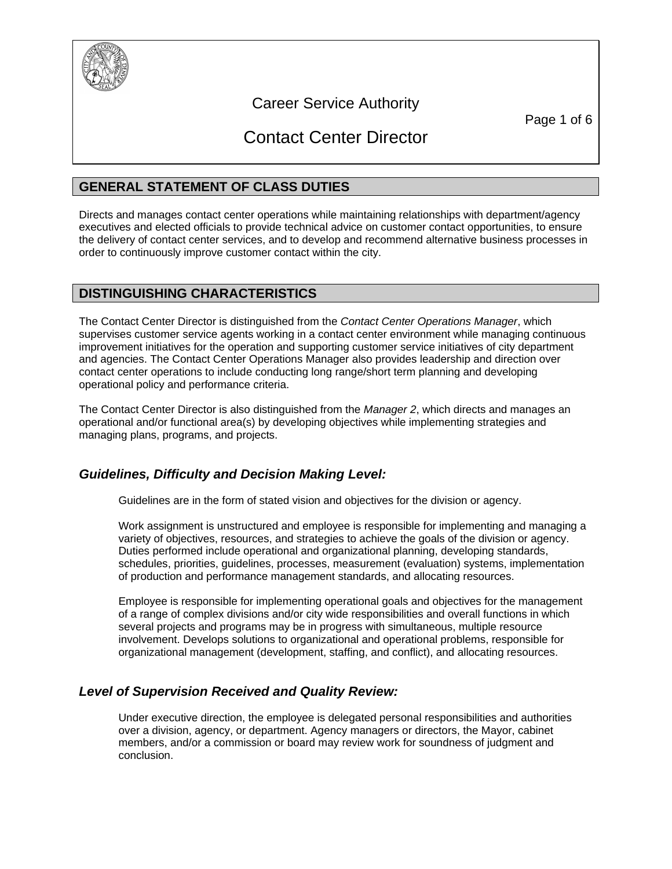

# Career Service Authority

Page 1 of 6

# Contact Center Director

### **GENERAL STATEMENT OF CLASS DUTIES**

Directs and manages contact center operations while maintaining relationships with department/agency executives and elected officials to provide technical advice on customer contact opportunities, to ensure the delivery of contact center services, and to develop and recommend alternative business processes in order to continuously improve customer contact within the city.

### **DISTINGUISHING CHARACTERISTICS**

The Contact Center Director is distinguished from the *Contact Center Operations Manager*, which supervises customer service agents working in a contact center environment while managing continuous improvement initiatives for the operation and supporting customer service initiatives of city department and agencies. The Contact Center Operations Manager also provides leadership and direction over contact center operations to include conducting long range/short term planning and developing operational policy and performance criteria.

The Contact Center Director is also distinguished from the *Manager 2*, which directs and manages an operational and/or functional area(s) by developing objectives while implementing strategies and managing plans, programs, and projects.

### *Guidelines, Difficulty and Decision Making Level:*

Guidelines are in the form of stated vision and objectives for the division or agency.

Work assignment is unstructured and employee is responsible for implementing and managing a variety of objectives, resources, and strategies to achieve the goals of the division or agency. Duties performed include operational and organizational planning, developing standards, schedules, priorities, guidelines, processes, measurement (evaluation) systems, implementation of production and performance management standards, and allocating resources.

Employee is responsible for implementing operational goals and objectives for the management of a range of complex divisions and/or city wide responsibilities and overall functions in which several projects and programs may be in progress with simultaneous, multiple resource involvement. Develops solutions to organizational and operational problems, responsible for organizational management (development, staffing, and conflict), and allocating resources.

### *Level of Supervision Received and Quality Review:*

Under executive direction, the employee is delegated personal responsibilities and authorities over a division, agency, or department. Agency managers or directors, the Mayor, cabinet members, and/or a commission or board may review work for soundness of judgment and conclusion.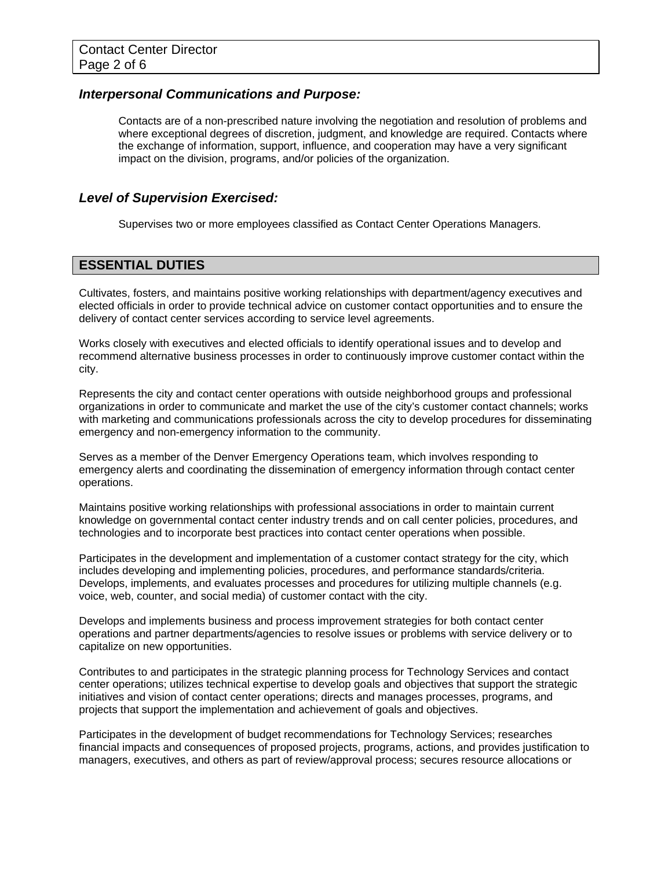### *Interpersonal Communications and Purpose:*

Contacts are of a non-prescribed nature involving the negotiation and resolution of problems and where exceptional degrees of discretion, judgment, and knowledge are required. Contacts where the exchange of information, support, influence, and cooperation may have a very significant impact on the division, programs, and/or policies of the organization.

### *Level of Supervision Exercised:*

Supervises two or more employees classified as Contact Center Operations Managers.

### **ESSENTIAL DUTIES**

Cultivates, fosters, and maintains positive working relationships with department/agency executives and elected officials in order to provide technical advice on customer contact opportunities and to ensure the delivery of contact center services according to service level agreements.

Works closely with executives and elected officials to identify operational issues and to develop and recommend alternative business processes in order to continuously improve customer contact within the city.

Represents the city and contact center operations with outside neighborhood groups and professional organizations in order to communicate and market the use of the city's customer contact channels; works with marketing and communications professionals across the city to develop procedures for disseminating emergency and non-emergency information to the community.

Serves as a member of the Denver Emergency Operations team, which involves responding to emergency alerts and coordinating the dissemination of emergency information through contact center operations.

Maintains positive working relationships with professional associations in order to maintain current knowledge on governmental contact center industry trends and on call center policies, procedures, and technologies and to incorporate best practices into contact center operations when possible.

Participates in the development and implementation of a customer contact strategy for the city, which includes developing and implementing policies, procedures, and performance standards/criteria. Develops, implements, and evaluates processes and procedures for utilizing multiple channels (e.g. voice, web, counter, and social media) of customer contact with the city.

Develops and implements business and process improvement strategies for both contact center operations and partner departments/agencies to resolve issues or problems with service delivery or to capitalize on new opportunities.

Contributes to and participates in the strategic planning process for Technology Services and contact center operations; utilizes technical expertise to develop goals and objectives that support the strategic initiatives and vision of contact center operations; directs and manages processes, programs, and projects that support the implementation and achievement of goals and objectives.

Participates in the development of budget recommendations for Technology Services; researches financial impacts and consequences of proposed projects, programs, actions, and provides justification to managers, executives, and others as part of review/approval process; secures resource allocations or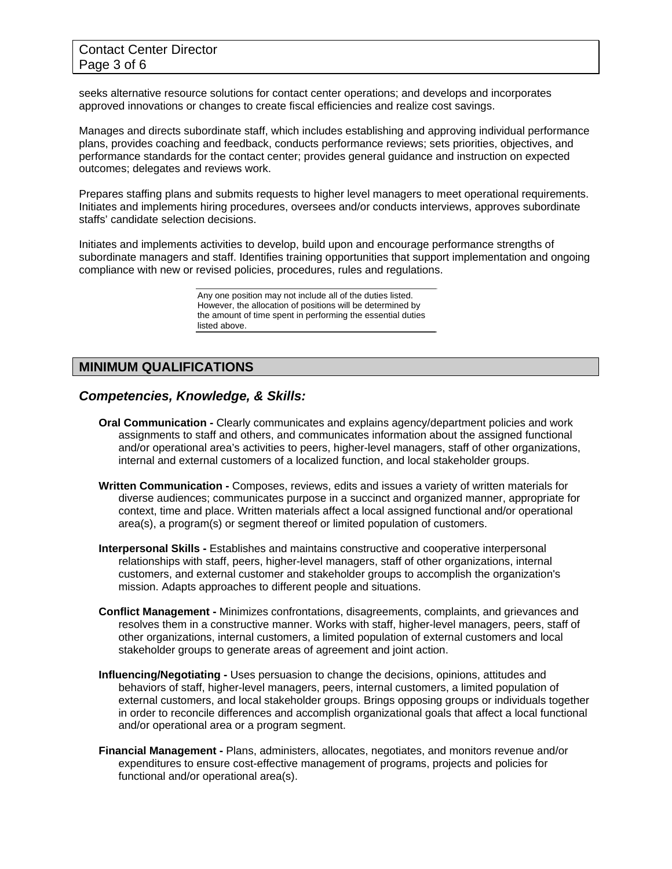seeks alternative resource solutions for contact center operations; and develops and incorporates approved innovations or changes to create fiscal efficiencies and realize cost savings.

Manages and directs subordinate staff, which includes establishing and approving individual performance plans, provides coaching and feedback, conducts performance reviews; sets priorities, objectives, and performance standards for the contact center; provides general guidance and instruction on expected outcomes; delegates and reviews work.

Prepares staffing plans and submits requests to higher level managers to meet operational requirements. Initiates and implements hiring procedures, oversees and/or conducts interviews, approves subordinate staffs' candidate selection decisions.

Initiates and implements activities to develop, build upon and encourage performance strengths of subordinate managers and staff. Identifies training opportunities that support implementation and ongoing compliance with new or revised policies, procedures, rules and regulations.

> Any one position may not include all of the duties listed. However, the allocation of positions will be determined by the amount of time spent in performing the essential duties listed above.

# **MINIMUM QUALIFICATIONS**

### *Competencies, Knowledge, & Skills:*

- **Oral Communication** Clearly communicates and explains agency/department policies and work assignments to staff and others, and communicates information about the assigned functional and/or operational area's activities to peers, higher-level managers, staff of other organizations, internal and external customers of a localized function, and local stakeholder groups.
- **Written Communication** Composes, reviews, edits and issues a variety of written materials for diverse audiences; communicates purpose in a succinct and organized manner, appropriate for context, time and place. Written materials affect a local assigned functional and/or operational area(s), a program(s) or segment thereof or limited population of customers.
- **Interpersonal Skills** Establishes and maintains constructive and cooperative interpersonal relationships with staff, peers, higher-level managers, staff of other organizations, internal customers, and external customer and stakeholder groups to accomplish the organization's mission. Adapts approaches to different people and situations.
- **Conflict Management** Minimizes confrontations, disagreements, complaints, and grievances and resolves them in a constructive manner. Works with staff, higher-level managers, peers, staff of other organizations, internal customers, a limited population of external customers and local stakeholder groups to generate areas of agreement and joint action.
- **Influencing/Negotiating** Uses persuasion to change the decisions, opinions, attitudes and behaviors of staff, higher-level managers, peers, internal customers, a limited population of external customers, and local stakeholder groups. Brings opposing groups or individuals together in order to reconcile differences and accomplish organizational goals that affect a local functional and/or operational area or a program segment.
- **Financial Management** Plans, administers, allocates, negotiates, and monitors revenue and/or expenditures to ensure cost-effective management of programs, projects and policies for functional and/or operational area(s).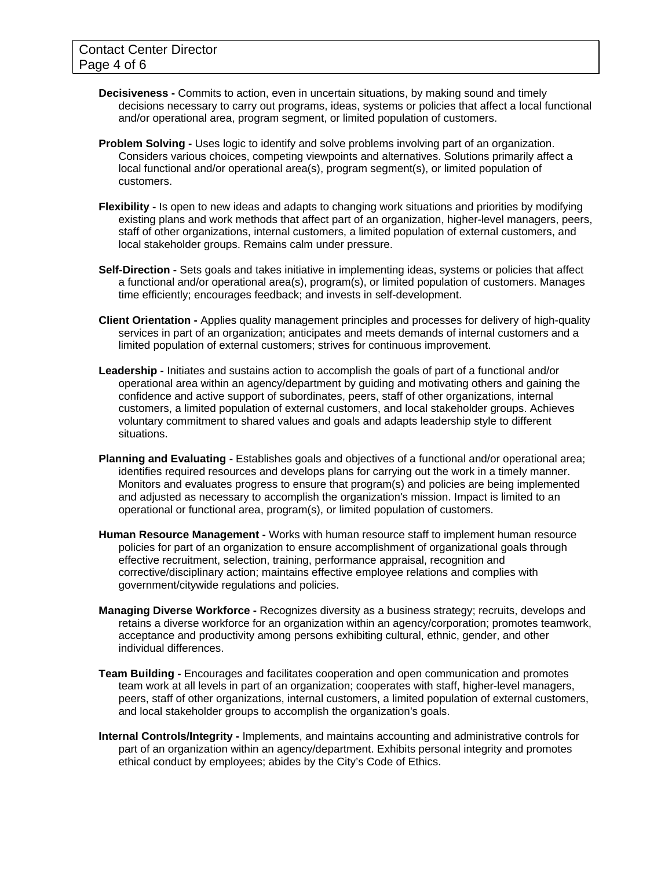- **Decisiveness** Commits to action, even in uncertain situations, by making sound and timely decisions necessary to carry out programs, ideas, systems or policies that affect a local functional and/or operational area, program segment, or limited population of customers.
- **Problem Solving** Uses logic to identify and solve problems involving part of an organization. Considers various choices, competing viewpoints and alternatives. Solutions primarily affect a local functional and/or operational area(s), program segment(s), or limited population of customers.
- **Flexibility** Is open to new ideas and adapts to changing work situations and priorities by modifying existing plans and work methods that affect part of an organization, higher-level managers, peers, staff of other organizations, internal customers, a limited population of external customers, and local stakeholder groups. Remains calm under pressure.
- **Self-Direction** Sets goals and takes initiative in implementing ideas, systems or policies that affect a functional and/or operational area(s), program(s), or limited population of customers. Manages time efficiently; encourages feedback; and invests in self-development.
- **Client Orientation** Applies quality management principles and processes for delivery of high-quality services in part of an organization; anticipates and meets demands of internal customers and a limited population of external customers; strives for continuous improvement.
- **Leadership** Initiates and sustains action to accomplish the goals of part of a functional and/or operational area within an agency/department by guiding and motivating others and gaining the confidence and active support of subordinates, peers, staff of other organizations, internal customers, a limited population of external customers, and local stakeholder groups. Achieves voluntary commitment to shared values and goals and adapts leadership style to different situations.
- **Planning and Evaluating Establishes goals and objectives of a functional and/or operational area;** identifies required resources and develops plans for carrying out the work in a timely manner. Monitors and evaluates progress to ensure that program(s) and policies are being implemented and adjusted as necessary to accomplish the organization's mission. Impact is limited to an operational or functional area, program(s), or limited population of customers.
- **Human Resource Management** Works with human resource staff to implement human resource policies for part of an organization to ensure accomplishment of organizational goals through effective recruitment, selection, training, performance appraisal, recognition and corrective/disciplinary action; maintains effective employee relations and complies with government/citywide regulations and policies.
- **Managing Diverse Workforce** Recognizes diversity as a business strategy; recruits, develops and retains a diverse workforce for an organization within an agency/corporation; promotes teamwork, acceptance and productivity among persons exhibiting cultural, ethnic, gender, and other individual differences.
- **Team Building** Encourages and facilitates cooperation and open communication and promotes team work at all levels in part of an organization; cooperates with staff, higher-level managers, peers, staff of other organizations, internal customers, a limited population of external customers, and local stakeholder groups to accomplish the organization's goals.
- **Internal Controls/Integrity** Implements, and maintains accounting and administrative controls for part of an organization within an agency/department. Exhibits personal integrity and promotes ethical conduct by employees; abides by the City's Code of Ethics.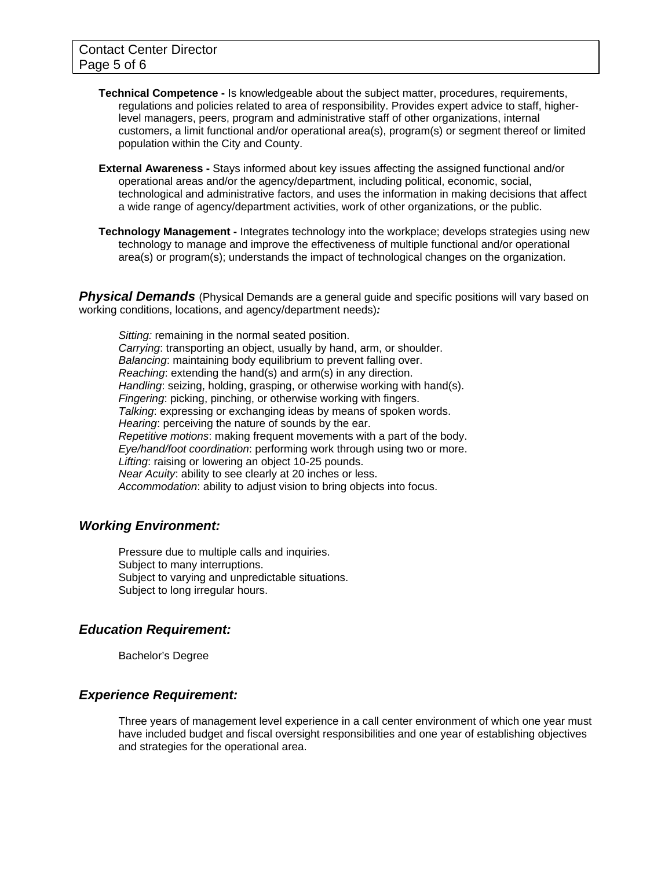- **Technical Competence** Is knowledgeable about the subject matter, procedures, requirements, regulations and policies related to area of responsibility. Provides expert advice to staff, higherlevel managers, peers, program and administrative staff of other organizations, internal customers, a limit functional and/or operational area(s), program(s) or segment thereof or limited population within the City and County.
- **External Awareness** Stays informed about key issues affecting the assigned functional and/or operational areas and/or the agency/department, including political, economic, social, technological and administrative factors, and uses the information in making decisions that affect a wide range of agency/department activities, work of other organizations, or the public.
- **Technology Management -** Integrates technology into the workplace; develops strategies using new technology to manage and improve the effectiveness of multiple functional and/or operational area(s) or program(s); understands the impact of technological changes on the organization.

**Physical Demands** (Physical Demands are a general guide and specific positions will vary based on working conditions, locations, and agency/department needs)*:* 

*Sitting:* remaining in the normal seated position. *Carrying*: transporting an object, usually by hand, arm, or shoulder. *Balancing*: maintaining body equilibrium to prevent falling over. *Reaching*: extending the hand(s) and arm(s) in any direction. *Handling*: seizing, holding, grasping, or otherwise working with hand(s). *Fingering*: picking, pinching, or otherwise working with fingers. *Talking*: expressing or exchanging ideas by means of spoken words. *Hearing*: perceiving the nature of sounds by the ear. *Repetitive motions*: making frequent movements with a part of the body. *Eye/hand/foot coordination*: performing work through using two or more. *Lifting*: raising or lowering an object 10-25 pounds. *Near Acuity*: ability to see clearly at 20 inches or less. *Accommodation*: ability to adjust vision to bring objects into focus.

### *Working Environment:*

Pressure due to multiple calls and inquiries. Subject to many interruptions. Subject to varying and unpredictable situations. Subject to long irregular hours.

### *Education Requirement:*

Bachelor's Degree

### *Experience Requirement:*

Three years of management level experience in a call center environment of which one year must have included budget and fiscal oversight responsibilities and one year of establishing objectives and strategies for the operational area.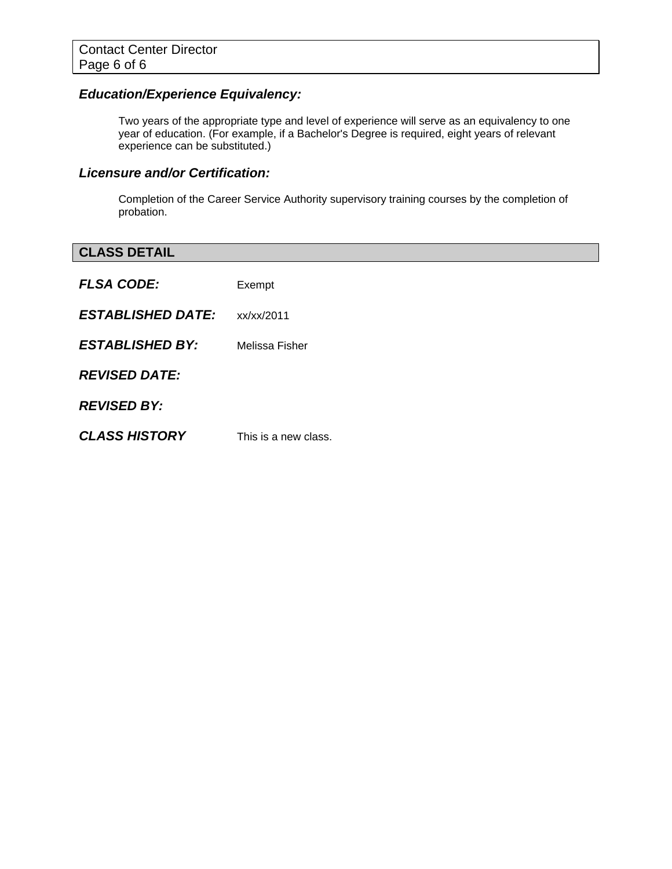# *Education/Experience Equivalency:*

Two years of the appropriate type and level of experience will serve as an equivalency to one year of education. (For example, if a Bachelor's Degree is required, eight years of relevant experience can be substituted.)

### *Licensure and/or Certification:*

Completion of the Career Service Authority supervisory training courses by the completion of probation.

| <b>CLASS DETAIL</b>      |                      |
|--------------------------|----------------------|
| <b>FLSA CODE:</b>        | Exempt               |
| <b>ESTABLISHED DATE:</b> | xx/xx/2011           |
| <b>ESTABLISHED BY:</b>   | Melissa Fisher       |
| <b>REVISED DATE:</b>     |                      |
| <b>REVISED BY:</b>       |                      |
| <b>CLASS HISTORY</b>     | This is a new class. |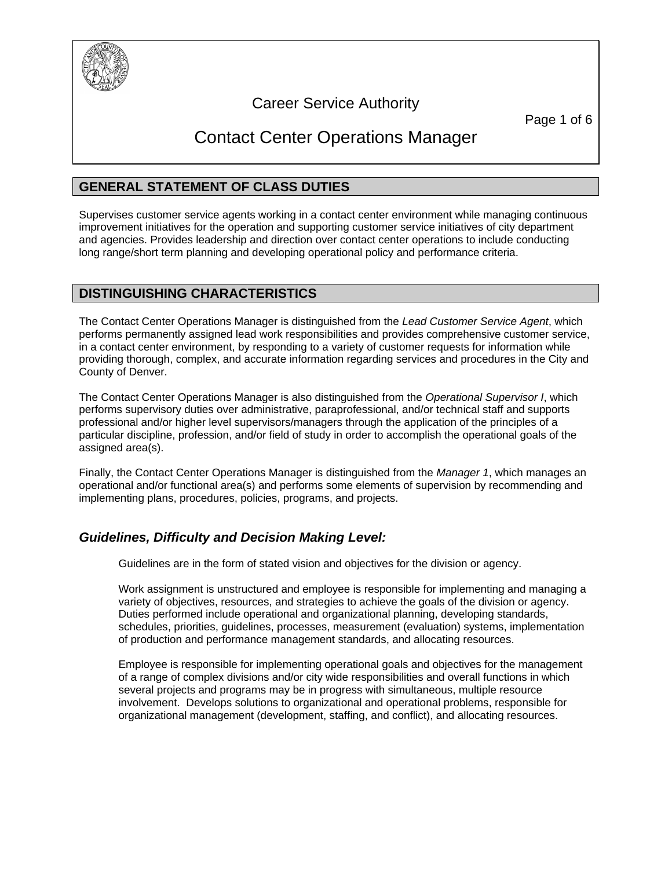

# Career Service Authority

Page 1 of 6

# Contact Center Operations Manager

# **GENERAL STATEMENT OF CLASS DUTIES**

Supervises customer service agents working in a contact center environment while managing continuous improvement initiatives for the operation and supporting customer service initiatives of city department and agencies. Provides leadership and direction over contact center operations to include conducting long range/short term planning and developing operational policy and performance criteria.

### **DISTINGUISHING CHARACTERISTICS**

The Contact Center Operations Manager is distinguished from the *Lead Customer Service Agent*, which performs permanently assigned lead work responsibilities and provides comprehensive customer service, in a contact center environment, by responding to a variety of customer requests for information while providing thorough, complex, and accurate information regarding services and procedures in the City and County of Denver.

The Contact Center Operations Manager is also distinguished from the *Operational Supervisor I*, which performs supervisory duties over administrative, paraprofessional, and/or technical staff and supports professional and/or higher level supervisors/managers through the application of the principles of a particular discipline, profession, and/or field of study in order to accomplish the operational goals of the assigned area(s).

Finally, the Contact Center Operations Manager is distinguished from the *Manager 1*, which manages an operational and/or functional area(s) and performs some elements of supervision by recommending and implementing plans, procedures, policies, programs, and projects.

# *Guidelines, Difficulty and Decision Making Level:*

Guidelines are in the form of stated vision and objectives for the division or agency.

Work assignment is unstructured and employee is responsible for implementing and managing a variety of objectives, resources, and strategies to achieve the goals of the division or agency. Duties performed include operational and organizational planning, developing standards, schedules, priorities, guidelines, processes, measurement (evaluation) systems, implementation of production and performance management standards, and allocating resources.

Employee is responsible for implementing operational goals and objectives for the management of a range of complex divisions and/or city wide responsibilities and overall functions in which several projects and programs may be in progress with simultaneous, multiple resource involvement. Develops solutions to organizational and operational problems, responsible for organizational management (development, staffing, and conflict), and allocating resources.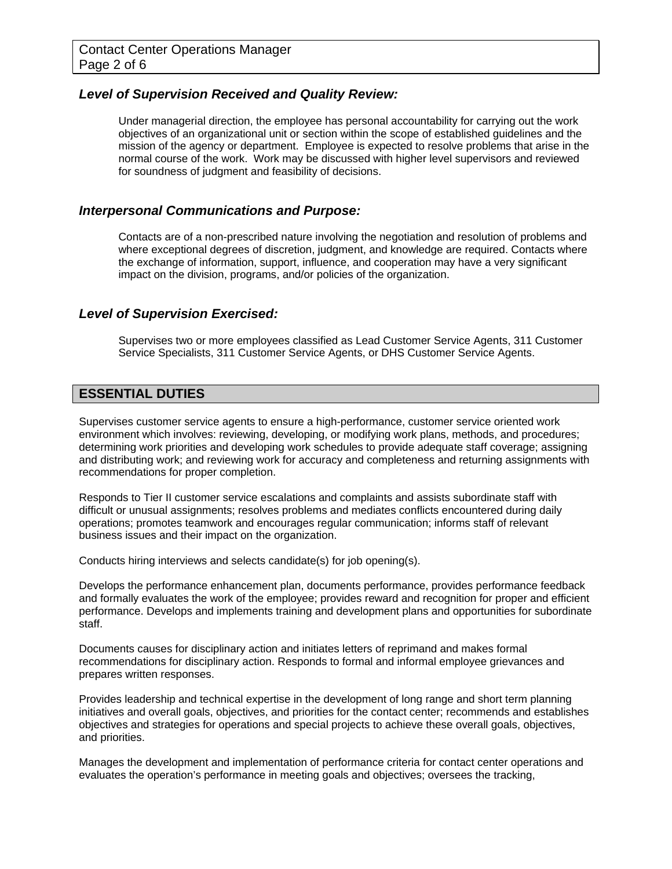### *Level of Supervision Received and Quality Review:*

Under managerial direction, the employee has personal accountability for carrying out the work objectives of an organizational unit or section within the scope of established guidelines and the mission of the agency or department. Employee is expected to resolve problems that arise in the normal course of the work. Work may be discussed with higher level supervisors and reviewed for soundness of judgment and feasibility of decisions.

### *Interpersonal Communications and Purpose:*

Contacts are of a non-prescribed nature involving the negotiation and resolution of problems and where exceptional degrees of discretion, judgment, and knowledge are required. Contacts where the exchange of information, support, influence, and cooperation may have a very significant impact on the division, programs, and/or policies of the organization.

### *Level of Supervision Exercised:*

Supervises two or more employees classified as Lead Customer Service Agents, 311 Customer Service Specialists, 311 Customer Service Agents, or DHS Customer Service Agents.

### **ESSENTIAL DUTIES**

Supervises customer service agents to ensure a high-performance, customer service oriented work environment which involves: reviewing, developing, or modifying work plans, methods, and procedures; determining work priorities and developing work schedules to provide adequate staff coverage; assigning and distributing work; and reviewing work for accuracy and completeness and returning assignments with recommendations for proper completion.

Responds to Tier II customer service escalations and complaints and assists subordinate staff with difficult or unusual assignments; resolves problems and mediates conflicts encountered during daily operations; promotes teamwork and encourages regular communication; informs staff of relevant business issues and their impact on the organization.

Conducts hiring interviews and selects candidate(s) for job opening(s).

Develops the performance enhancement plan, documents performance, provides performance feedback and formally evaluates the work of the employee; provides reward and recognition for proper and efficient performance. Develops and implements training and development plans and opportunities for subordinate staff.

Documents causes for disciplinary action and initiates letters of reprimand and makes formal recommendations for disciplinary action. Responds to formal and informal employee grievances and prepares written responses.

Provides leadership and technical expertise in the development of long range and short term planning initiatives and overall goals, objectives, and priorities for the contact center; recommends and establishes objectives and strategies for operations and special projects to achieve these overall goals, objectives, and priorities.

Manages the development and implementation of performance criteria for contact center operations and evaluates the operation's performance in meeting goals and objectives; oversees the tracking,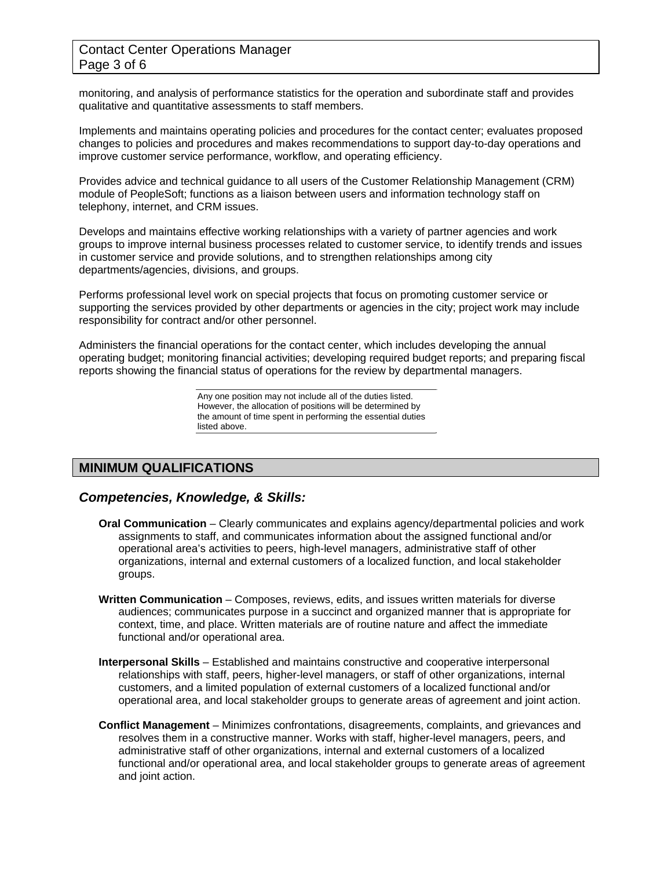### Contact Center Operations Manager Page 3 of 6

monitoring, and analysis of performance statistics for the operation and subordinate staff and provides qualitative and quantitative assessments to staff members.

Implements and maintains operating policies and procedures for the contact center; evaluates proposed changes to policies and procedures and makes recommendations to support day-to-day operations and improve customer service performance, workflow, and operating efficiency.

Provides advice and technical guidance to all users of the Customer Relationship Management (CRM) module of PeopleSoft; functions as a liaison between users and information technology staff on telephony, internet, and CRM issues.

Develops and maintains effective working relationships with a variety of partner agencies and work groups to improve internal business processes related to customer service, to identify trends and issues in customer service and provide solutions, and to strengthen relationships among city departments/agencies, divisions, and groups.

Performs professional level work on special projects that focus on promoting customer service or supporting the services provided by other departments or agencies in the city; project work may include responsibility for contract and/or other personnel.

Administers the financial operations for the contact center, which includes developing the annual operating budget; monitoring financial activities; developing required budget reports; and preparing fiscal reports showing the financial status of operations for the review by departmental managers.

> Any one position may not include all of the duties listed. However, the allocation of positions will be determined by the amount of time spent in performing the essential duties listed above.

# **MINIMUM QUALIFICATIONS**

### *Competencies, Knowledge, & Skills:*

- **Oral Communication** Clearly communicates and explains agency/departmental policies and work assignments to staff, and communicates information about the assigned functional and/or operational area's activities to peers, high-level managers, administrative staff of other organizations, internal and external customers of a localized function, and local stakeholder groups.
- **Written Communication** Composes, reviews, edits, and issues written materials for diverse audiences; communicates purpose in a succinct and organized manner that is appropriate for context, time, and place. Written materials are of routine nature and affect the immediate functional and/or operational area.
- **Interpersonal Skills** Established and maintains constructive and cooperative interpersonal relationships with staff, peers, higher-level managers, or staff of other organizations, internal customers, and a limited population of external customers of a localized functional and/or operational area, and local stakeholder groups to generate areas of agreement and joint action.
- **Conflict Management** Minimizes confrontations, disagreements, complaints, and grievances and resolves them in a constructive manner. Works with staff, higher-level managers, peers, and administrative staff of other organizations, internal and external customers of a localized functional and/or operational area, and local stakeholder groups to generate areas of agreement and joint action.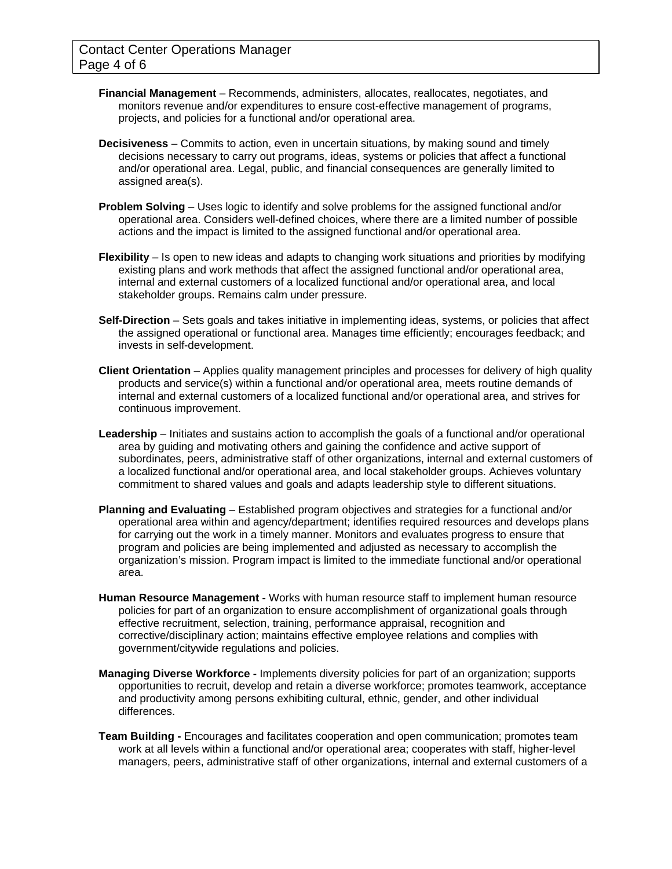- **Financial Management**  Recommends, administers, allocates, reallocates, negotiates, and monitors revenue and/or expenditures to ensure cost-effective management of programs, projects, and policies for a functional and/or operational area.
- **Decisiveness**  Commits to action, even in uncertain situations, by making sound and timely decisions necessary to carry out programs, ideas, systems or policies that affect a functional and/or operational area. Legal, public, and financial consequences are generally limited to assigned area(s).
- **Problem Solving** Uses logic to identify and solve problems for the assigned functional and/or operational area. Considers well-defined choices, where there are a limited number of possible actions and the impact is limited to the assigned functional and/or operational area.
- **Flexibility** Is open to new ideas and adapts to changing work situations and priorities by modifying existing plans and work methods that affect the assigned functional and/or operational area, internal and external customers of a localized functional and/or operational area, and local stakeholder groups. Remains calm under pressure.
- **Self-Direction** Sets goals and takes initiative in implementing ideas, systems, or policies that affect the assigned operational or functional area. Manages time efficiently; encourages feedback; and invests in self-development.
- **Client Orientation** Applies quality management principles and processes for delivery of high quality products and service(s) within a functional and/or operational area, meets routine demands of internal and external customers of a localized functional and/or operational area, and strives for continuous improvement.
- **Leadership** Initiates and sustains action to accomplish the goals of a functional and/or operational area by guiding and motivating others and gaining the confidence and active support of subordinates, peers, administrative staff of other organizations, internal and external customers of a localized functional and/or operational area, and local stakeholder groups. Achieves voluntary commitment to shared values and goals and adapts leadership style to different situations.
- **Planning and Evaluating** Established program objectives and strategies for a functional and/or operational area within and agency/department; identifies required resources and develops plans for carrying out the work in a timely manner. Monitors and evaluates progress to ensure that program and policies are being implemented and adjusted as necessary to accomplish the organization's mission. Program impact is limited to the immediate functional and/or operational area.
- **Human Resource Management** Works with human resource staff to implement human resource policies for part of an organization to ensure accomplishment of organizational goals through effective recruitment, selection, training, performance appraisal, recognition and corrective/disciplinary action; maintains effective employee relations and complies with government/citywide regulations and policies.
- **Managing Diverse Workforce** Implements diversity policies for part of an organization; supports opportunities to recruit, develop and retain a diverse workforce; promotes teamwork, acceptance and productivity among persons exhibiting cultural, ethnic, gender, and other individual differences.
- **Team Building** Encourages and facilitates cooperation and open communication; promotes team work at all levels within a functional and/or operational area; cooperates with staff, higher-level managers, peers, administrative staff of other organizations, internal and external customers of a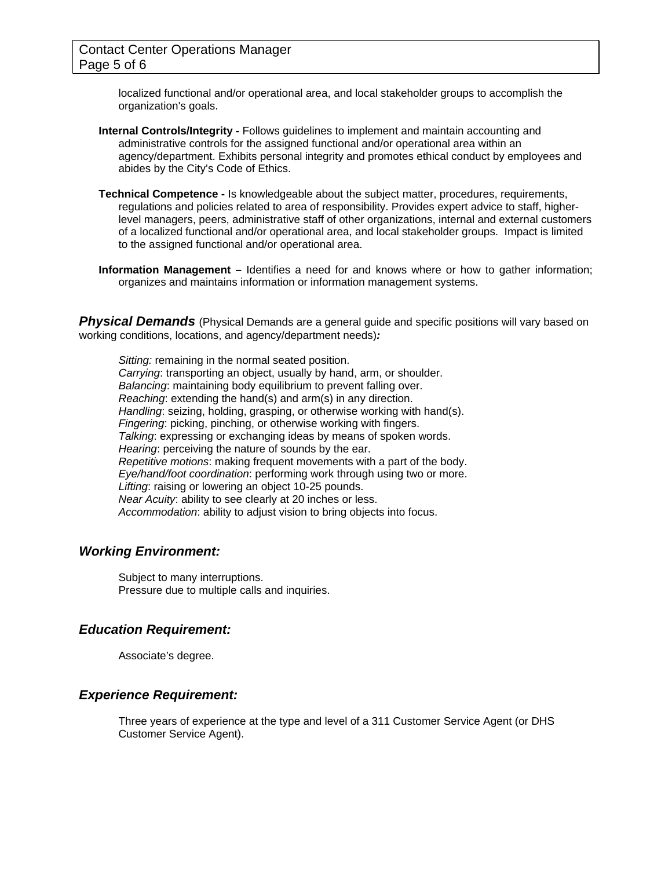localized functional and/or operational area, and local stakeholder groups to accomplish the organization's goals.

- **Internal Controls/Integrity** Follows guidelines to implement and maintain accounting and administrative controls for the assigned functional and/or operational area within an agency/department. Exhibits personal integrity and promotes ethical conduct by employees and abides by the City's Code of Ethics.
- **Technical Competence** Is knowledgeable about the subject matter, procedures, requirements, regulations and policies related to area of responsibility. Provides expert advice to staff, higherlevel managers, peers, administrative staff of other organizations, internal and external customers of a localized functional and/or operational area, and local stakeholder groups. Impact is limited to the assigned functional and/or operational area.
- **Information Management** Identifies a need for and knows where or how to gather information; organizes and maintains information or information management systems.

**Physical Demands** (Physical Demands are a general guide and specific positions will vary based on working conditions, locations, and agency/department needs)*:* 

*Sitting:* remaining in the normal seated position. *Carrying*: transporting an object, usually by hand, arm, or shoulder. *Balancing*: maintaining body equilibrium to prevent falling over. *Reaching*: extending the hand(s) and arm(s) in any direction. *Handling*: seizing, holding, grasping, or otherwise working with hand(s). *Fingering*: picking, pinching, or otherwise working with fingers. *Talking*: expressing or exchanging ideas by means of spoken words. *Hearing*: perceiving the nature of sounds by the ear. *Repetitive motions*: making frequent movements with a part of the body. *Eye/hand/foot coordination*: performing work through using two or more. *Lifting*: raising or lowering an object 10-25 pounds. *Near Acuity*: ability to see clearly at 20 inches or less. *Accommodation*: ability to adjust vision to bring objects into focus.

### *Working Environment:*

Subject to many interruptions. Pressure due to multiple calls and inquiries.

### *Education Requirement:*

Associate's degree.

### *Experience Requirement:*

Three years of experience at the type and level of a 311 Customer Service Agent (or DHS Customer Service Agent).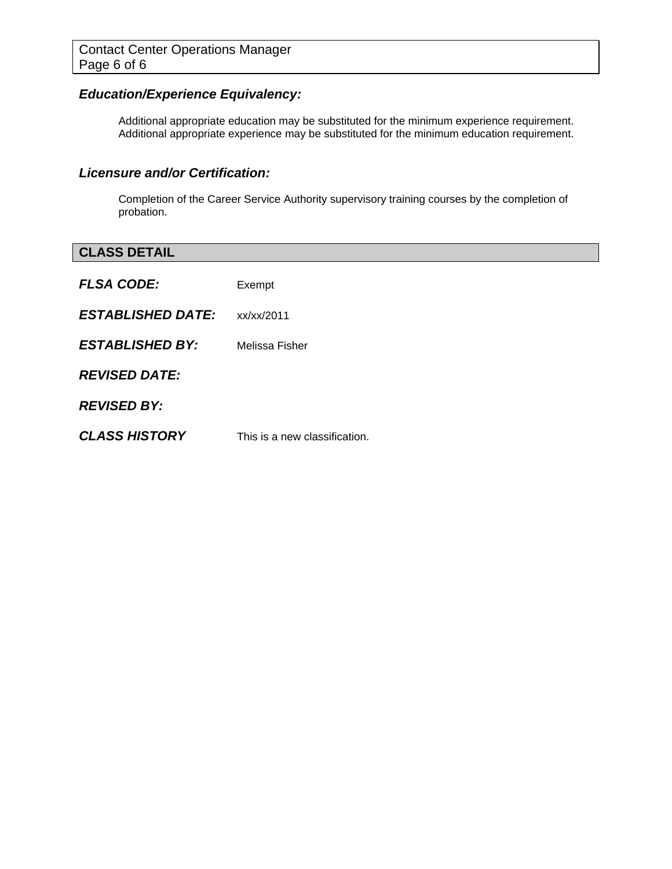# *Education/Experience Equivalency:*

Additional appropriate education may be substituted for the minimum experience requirement. Additional appropriate experience may be substituted for the minimum education requirement.

### *Licensure and/or Certification:*

Completion of the Career Service Authority supervisory training courses by the completion of probation.

| <b>CLASS DETAIL</b>      |                               |
|--------------------------|-------------------------------|
| <b>FLSA CODE:</b>        | Exempt                        |
| <b>ESTABLISHED DATE:</b> | xx/xx/2011                    |
| <b>ESTABLISHED BY:</b>   | Melissa Fisher                |
| <b>REVISED DATE:</b>     |                               |
| <b>REVISED BY:</b>       |                               |
| <b>CLASS HISTORY</b>     | This is a new classification. |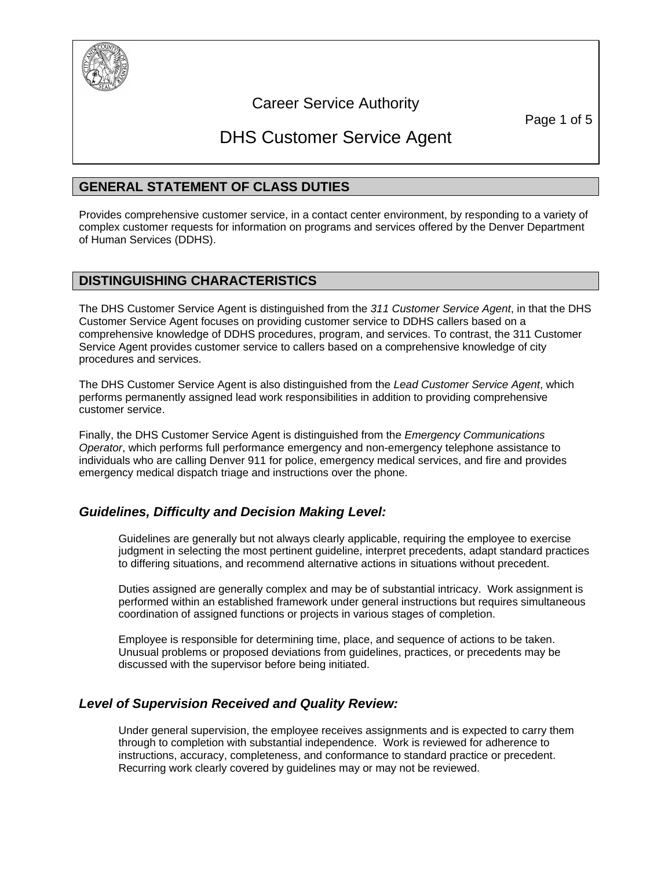

# Career Service Authority

Page 1 of 5

# DHS Customer Service Agent

### **GENERAL STATEMENT OF CLASS DUTIES**

Provides comprehensive customer service, in a contact center environment, by responding to a variety of complex customer requests for information on programs and services offered by the Denver Department of Human Services (DDHS).

### **DISTINGUISHING CHARACTERISTICS**

The DHS Customer Service Agent is distinguished from the *311 Customer Service Agent*, in that the DHS Customer Service Agent focuses on providing customer service to DDHS callers based on a comprehensive knowledge of DDHS procedures, program, and services. To contrast, the 311 Customer Service Agent provides customer service to callers based on a comprehensive knowledge of city procedures and services.

The DHS Customer Service Agent is also distinguished from the *Lead Customer Service Agent*, which performs permanently assigned lead work responsibilities in addition to providing comprehensive customer service.

Finally, the DHS Customer Service Agent is distinguished from the *Emergency Communications Operator*, which performs full performance emergency and non-emergency telephone assistance to individuals who are calling Denver 911 for police, emergency medical services, and fire and provides emergency medical dispatch triage and instructions over the phone.

### *Guidelines, Difficulty and Decision Making Level:*

Guidelines are generally but not always clearly applicable, requiring the employee to exercise judgment in selecting the most pertinent guideline, interpret precedents, adapt standard practices to differing situations, and recommend alternative actions in situations without precedent.

Duties assigned are generally complex and may be of substantial intricacy. Work assignment is performed within an established framework under general instructions but requires simultaneous coordination of assigned functions or projects in various stages of completion.

Employee is responsible for determining time, place, and sequence of actions to be taken. Unusual problems or proposed deviations from guidelines, practices, or precedents may be discussed with the supervisor before being initiated.

### *Level of Supervision Received and Quality Review:*

Under general supervision, the employee receives assignments and is expected to carry them through to completion with substantial independence. Work is reviewed for adherence to instructions, accuracy, completeness, and conformance to standard practice or precedent. Recurring work clearly covered by guidelines may or may not be reviewed.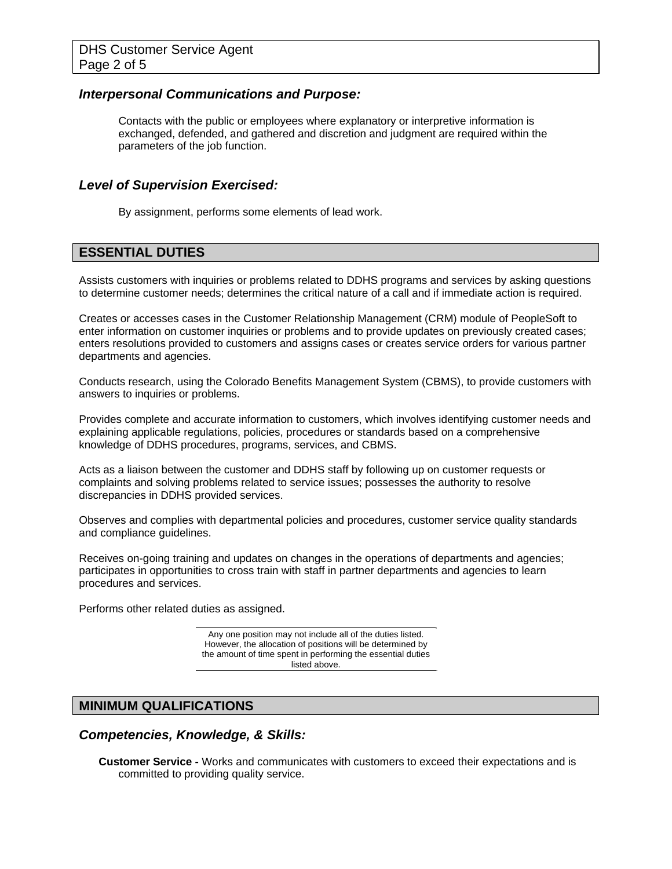### *Interpersonal Communications and Purpose:*

Contacts with the public or employees where explanatory or interpretive information is exchanged, defended, and gathered and discretion and judgment are required within the parameters of the job function.

### *Level of Supervision Exercised:*

By assignment, performs some elements of lead work.

### **ESSENTIAL DUTIES**

Assists customers with inquiries or problems related to DDHS programs and services by asking questions to determine customer needs; determines the critical nature of a call and if immediate action is required.

Creates or accesses cases in the Customer Relationship Management (CRM) module of PeopleSoft to enter information on customer inquiries or problems and to provide updates on previously created cases; enters resolutions provided to customers and assigns cases or creates service orders for various partner departments and agencies.

Conducts research, using the Colorado Benefits Management System (CBMS), to provide customers with answers to inquiries or problems.

Provides complete and accurate information to customers, which involves identifying customer needs and explaining applicable regulations, policies, procedures or standards based on a comprehensive knowledge of DDHS procedures, programs, services, and CBMS.

Acts as a liaison between the customer and DDHS staff by following up on customer requests or complaints and solving problems related to service issues; possesses the authority to resolve discrepancies in DDHS provided services.

Observes and complies with departmental policies and procedures, customer service quality standards and compliance guidelines.

Receives on-going training and updates on changes in the operations of departments and agencies; participates in opportunities to cross train with staff in partner departments and agencies to learn procedures and services.

Performs other related duties as assigned.

Any one position may not include all of the duties listed. However, the allocation of positions will be determined by the amount of time spent in performing the essential duties listed above.

### **MINIMUM QUALIFICATIONS**

### *Competencies, Knowledge, & Skills:*

**Customer Service -** Works and communicates with customers to exceed their expectations and is committed to providing quality service.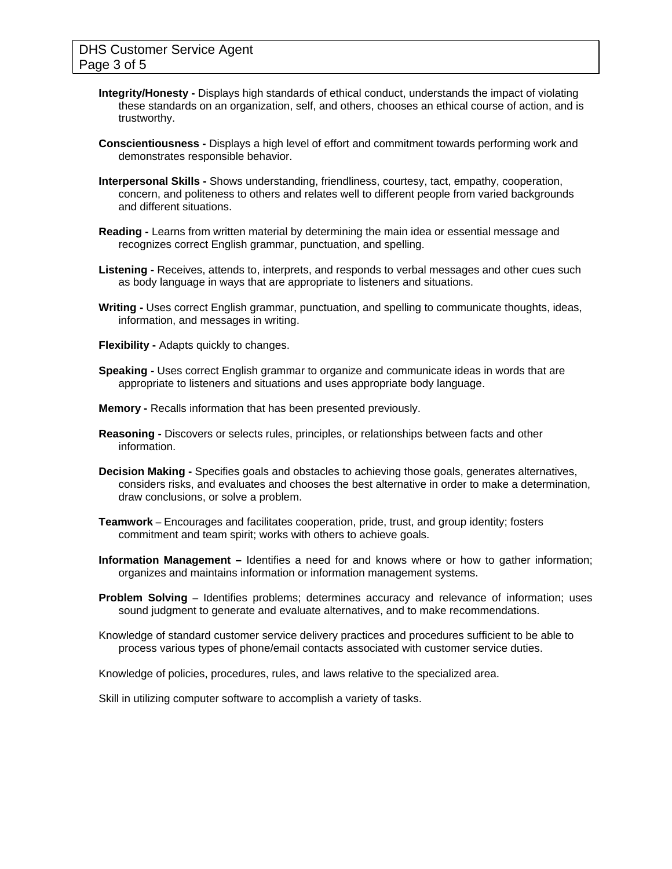- **Integrity/Honesty -** Displays high standards of ethical conduct, understands the impact of violating these standards on an organization, self, and others, chooses an ethical course of action, and is trustworthy.
- **Conscientiousness -** Displays a high level of effort and commitment towards performing work and demonstrates responsible behavior.
- **Interpersonal Skills** Shows understanding, friendliness, courtesy, tact, empathy, cooperation, concern, and politeness to others and relates well to different people from varied backgrounds and different situations.
- **Reading -** Learns from written material by determining the main idea or essential message and recognizes correct English grammar, punctuation, and spelling.
- **Listening -** Receives, attends to, interprets, and responds to verbal messages and other cues such as body language in ways that are appropriate to listeners and situations.
- **Writing -** Uses correct English grammar, punctuation, and spelling to communicate thoughts, ideas, information, and messages in writing.
- **Flexibility -** Adapts quickly to changes.
- **Speaking -** Uses correct English grammar to organize and communicate ideas in words that are appropriate to listeners and situations and uses appropriate body language.
- **Memory** Recalls information that has been presented previously.
- **Reasoning -** Discovers or selects rules, principles, or relationships between facts and other information.
- **Decision Making -** Specifies goals and obstacles to achieving those goals, generates alternatives, considers risks, and evaluates and chooses the best alternative in order to make a determination, draw conclusions, or solve a problem.
- **Teamwork** Encourages and facilitates cooperation, pride, trust, and group identity; fosters commitment and team spirit; works with others to achieve goals.
- **Information Management** Identifies a need for and knows where or how to gather information; organizes and maintains information or information management systems.
- **Problem Solving** Identifies problems; determines accuracy and relevance of information; uses sound judgment to generate and evaluate alternatives, and to make recommendations.
- Knowledge of standard customer service delivery practices and procedures sufficient to be able to process various types of phone/email contacts associated with customer service duties.

Knowledge of policies, procedures, rules, and laws relative to the specialized area.

Skill in utilizing computer software to accomplish a variety of tasks.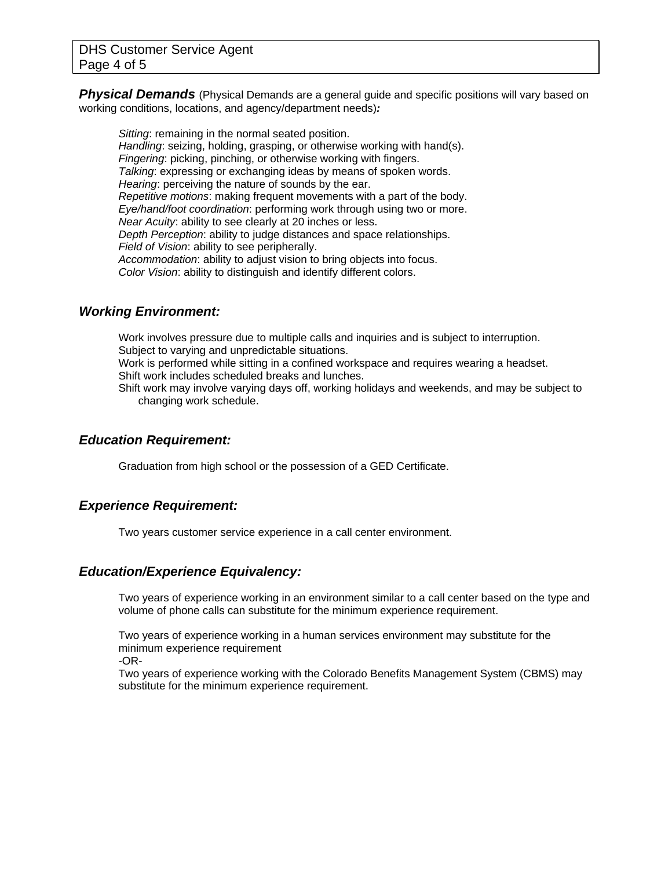**Physical Demands** (Physical Demands are a general guide and specific positions will vary based on working conditions, locations, and agency/department needs)*:* 

*Sitting*: remaining in the normal seated position. *Handling*: seizing, holding, grasping, or otherwise working with hand(s). *Fingering*: picking, pinching, or otherwise working with fingers. *Talking*: expressing or exchanging ideas by means of spoken words. *Hearing*: perceiving the nature of sounds by the ear. *Repetitive motions*: making frequent movements with a part of the body. *Eye/hand/foot coordination*: performing work through using two or more. *Near Acuity*: ability to see clearly at 20 inches or less. *Depth Perception*: ability to judge distances and space relationships. *Field of Vision*: ability to see peripherally. *Accommodation*: ability to adjust vision to bring objects into focus. *Color Vision*: ability to distinguish and identify different colors.

### *Working Environment:*

Work involves pressure due to multiple calls and inquiries and is subject to interruption. Subject to varying and unpredictable situations. Work is performed while sitting in a confined workspace and requires wearing a headset.

Shift work includes scheduled breaks and lunches.

Shift work may involve varying days off, working holidays and weekends, and may be subject to changing work schedule.

### *Education Requirement:*

Graduation from high school or the possession of a GED Certificate.

### *Experience Requirement:*

Two years customer service experience in a call center environment.

### *Education/Experience Equivalency:*

Two years of experience working in an environment similar to a call center based on the type and volume of phone calls can substitute for the minimum experience requirement.

Two years of experience working in a human services environment may substitute for the minimum experience requirement

-OR-

Two years of experience working with the Colorado Benefits Management System (CBMS) may substitute for the minimum experience requirement.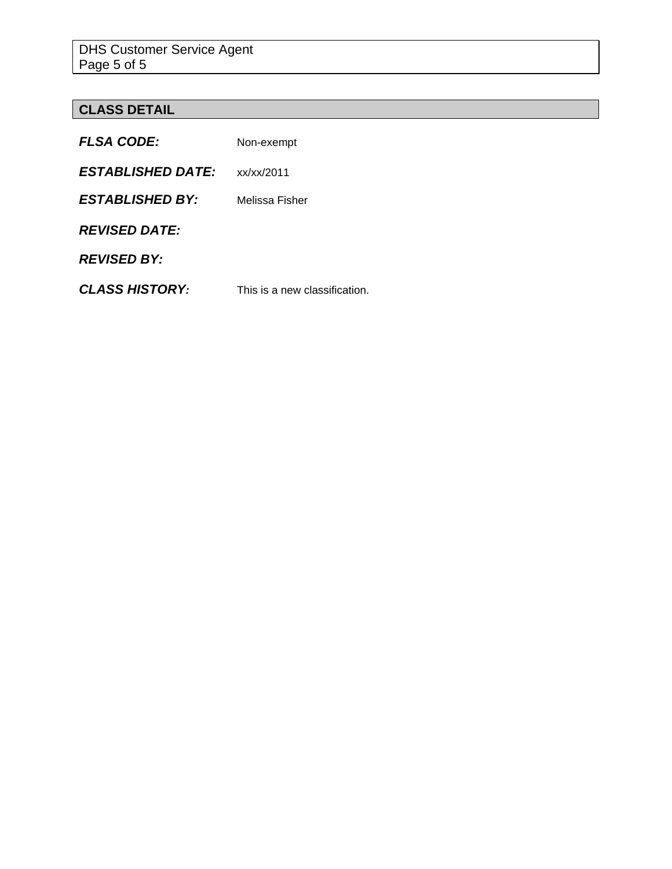# **CLASS DETAIL**

| <b>FLSA CODE:</b>        | Non-exempt                    |
|--------------------------|-------------------------------|
| <b>ESTABLISHED DATE:</b> | xx/xx/2011                    |
| <b>ESTABLISHED BY:</b>   | Melissa Fisher                |
| <b>REVISED DATE:</b>     |                               |
| <b>REVISED BY:</b>       |                               |
| <b>CLASS HISTORY:</b>    | This is a new classification. |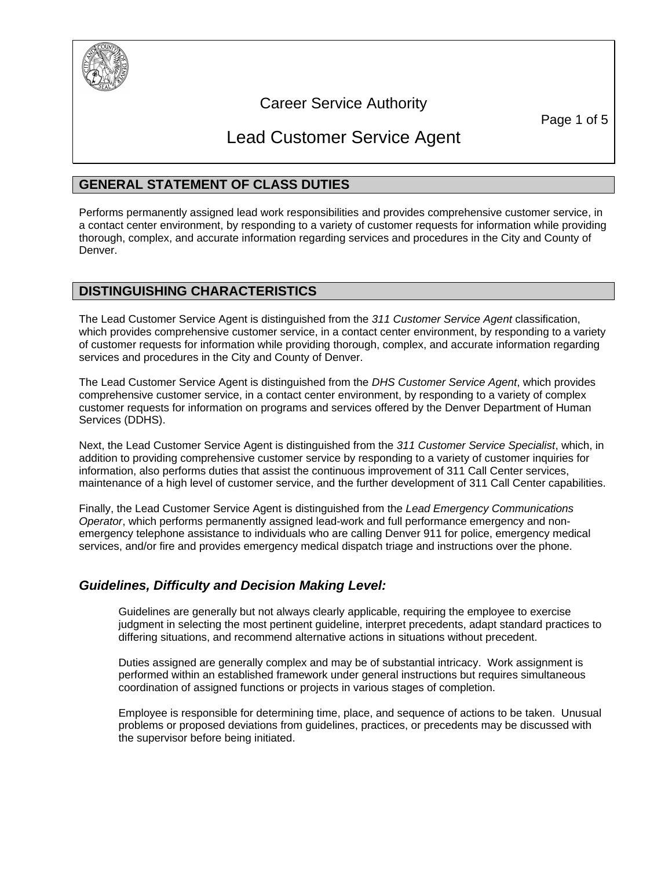

# Career Service Authority

Page 1 of 5

# Lead Customer Service Agent

# **GENERAL STATEMENT OF CLASS DUTIES**

Performs permanently assigned lead work responsibilities and provides comprehensive customer service, in a contact center environment, by responding to a variety of customer requests for information while providing thorough, complex, and accurate information regarding services and procedures in the City and County of Denver.

### **DISTINGUISHING CHARACTERISTICS**

The Lead Customer Service Agent is distinguished from the *311 Customer Service Agent* classification, which provides comprehensive customer service, in a contact center environment, by responding to a variety of customer requests for information while providing thorough, complex, and accurate information regarding services and procedures in the City and County of Denver.

The Lead Customer Service Agent is distinguished from the *DHS Customer Service Agent*, which provides comprehensive customer service, in a contact center environment, by responding to a variety of complex customer requests for information on programs and services offered by the Denver Department of Human Services (DDHS).

Next, the Lead Customer Service Agent is distinguished from the *311 Customer Service Specialist*, which, in addition to providing comprehensive customer service by responding to a variety of customer inquiries for information, also performs duties that assist the continuous improvement of 311 Call Center services, maintenance of a high level of customer service, and the further development of 311 Call Center capabilities.

Finally, the Lead Customer Service Agent is distinguished from the *Lead Emergency Communications Operator*, which performs permanently assigned lead-work and full performance emergency and nonemergency telephone assistance to individuals who are calling Denver 911 for police, emergency medical services, and/or fire and provides emergency medical dispatch triage and instructions over the phone.

# *Guidelines, Difficulty and Decision Making Level:*

Guidelines are generally but not always clearly applicable, requiring the employee to exercise judgment in selecting the most pertinent guideline, interpret precedents, adapt standard practices to differing situations, and recommend alternative actions in situations without precedent.

Duties assigned are generally complex and may be of substantial intricacy. Work assignment is performed within an established framework under general instructions but requires simultaneous coordination of assigned functions or projects in various stages of completion.

Employee is responsible for determining time, place, and sequence of actions to be taken. Unusual problems or proposed deviations from guidelines, practices, or precedents may be discussed with the supervisor before being initiated.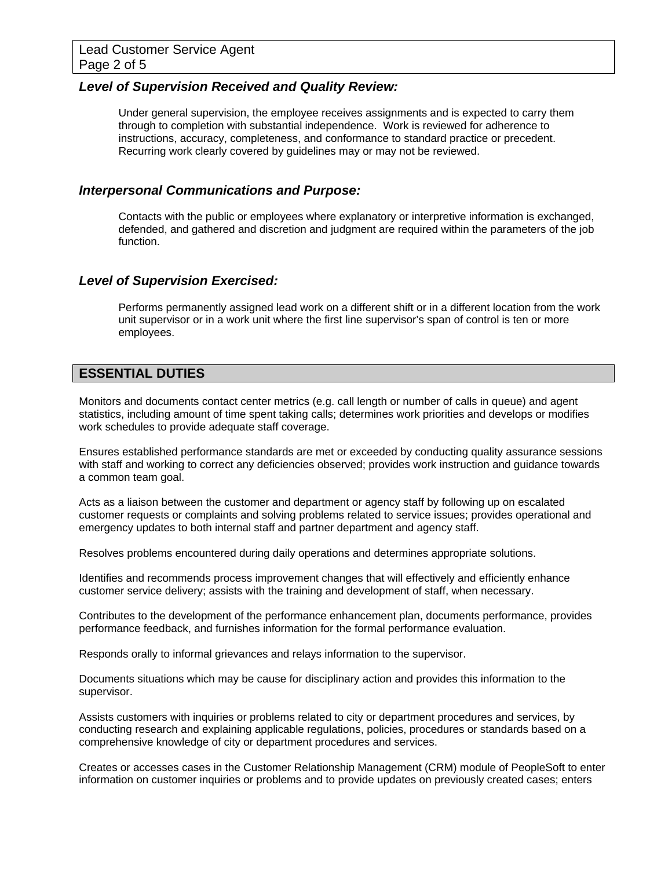### *Level of Supervision Received and Quality Review:*

Under general supervision, the employee receives assignments and is expected to carry them through to completion with substantial independence. Work is reviewed for adherence to instructions, accuracy, completeness, and conformance to standard practice or precedent. Recurring work clearly covered by guidelines may or may not be reviewed.

### *Interpersonal Communications and Purpose:*

Contacts with the public or employees where explanatory or interpretive information is exchanged, defended, and gathered and discretion and judgment are required within the parameters of the job function.

### *Level of Supervision Exercised:*

Performs permanently assigned lead work on a different shift or in a different location from the work unit supervisor or in a work unit where the first line supervisor's span of control is ten or more employees.

# **ESSENTIAL DUTIES**

Monitors and documents contact center metrics (e.g. call length or number of calls in queue) and agent statistics, including amount of time spent taking calls; determines work priorities and develops or modifies work schedules to provide adequate staff coverage.

Ensures established performance standards are met or exceeded by conducting quality assurance sessions with staff and working to correct any deficiencies observed; provides work instruction and guidance towards a common team goal.

Acts as a liaison between the customer and department or agency staff by following up on escalated customer requests or complaints and solving problems related to service issues; provides operational and emergency updates to both internal staff and partner department and agency staff.

Resolves problems encountered during daily operations and determines appropriate solutions.

Identifies and recommends process improvement changes that will effectively and efficiently enhance customer service delivery; assists with the training and development of staff, when necessary.

Contributes to the development of the performance enhancement plan, documents performance, provides performance feedback, and furnishes information for the formal performance evaluation.

Responds orally to informal grievances and relays information to the supervisor.

Documents situations which may be cause for disciplinary action and provides this information to the supervisor.

Assists customers with inquiries or problems related to city or department procedures and services, by conducting research and explaining applicable regulations, policies, procedures or standards based on a comprehensive knowledge of city or department procedures and services.

Creates or accesses cases in the Customer Relationship Management (CRM) module of PeopleSoft to enter information on customer inquiries or problems and to provide updates on previously created cases; enters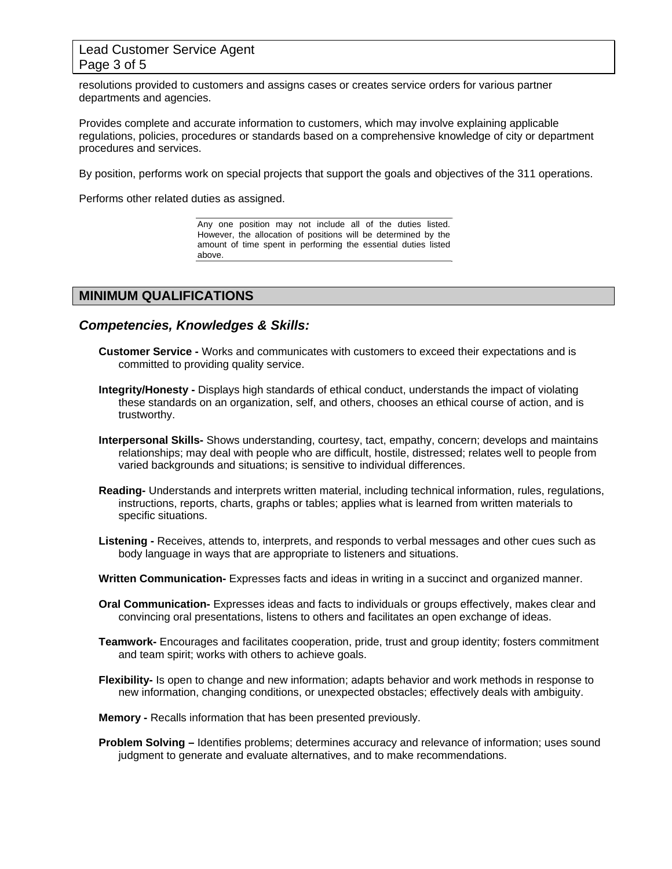### Lead Customer Service Agent Page 3 of 5

resolutions provided to customers and assigns cases or creates service orders for various partner departments and agencies.

Provides complete and accurate information to customers, which may involve explaining applicable regulations, policies, procedures or standards based on a comprehensive knowledge of city or department procedures and services.

By position, performs work on special projects that support the goals and objectives of the 311 operations.

Performs other related duties as assigned.

Any one position may not include all of the duties listed. However, the allocation of positions will be determined by the amount of time spent in performing the essential duties listed above.

### **MINIMUM QUALIFICATIONS**

*Competencies, Knowledges & Skills:* 

- **Customer Service** Works and communicates with customers to exceed their expectations and is committed to providing quality service.
- **Integrity/Honesty -** Displays high standards of ethical conduct, understands the impact of violating these standards on an organization, self, and others, chooses an ethical course of action, and is trustworthy.
- **Interpersonal Skills-** Shows understanding, courtesy, tact, empathy, concern; develops and maintains relationships; may deal with people who are difficult, hostile, distressed; relates well to people from varied backgrounds and situations; is sensitive to individual differences.
- **Reading-** Understands and interprets written material, including technical information, rules, regulations, instructions, reports, charts, graphs or tables; applies what is learned from written materials to specific situations.
- **Listening -** Receives, attends to, interprets, and responds to verbal messages and other cues such as body language in ways that are appropriate to listeners and situations.
- **Written Communication-** Expresses facts and ideas in writing in a succinct and organized manner.
- **Oral Communication-** Expresses ideas and facts to individuals or groups effectively, makes clear and convincing oral presentations, listens to others and facilitates an open exchange of ideas.
- **Teamwork-** Encourages and facilitates cooperation, pride, trust and group identity; fosters commitment and team spirit; works with others to achieve goals.
- **Flexibility-** Is open to change and new information; adapts behavior and work methods in response to new information, changing conditions, or unexpected obstacles; effectively deals with ambiguity.
- **Memory** Recalls information that has been presented previously.
- **Problem Solving** Identifies problems; determines accuracy and relevance of information; uses sound judgment to generate and evaluate alternatives, and to make recommendations.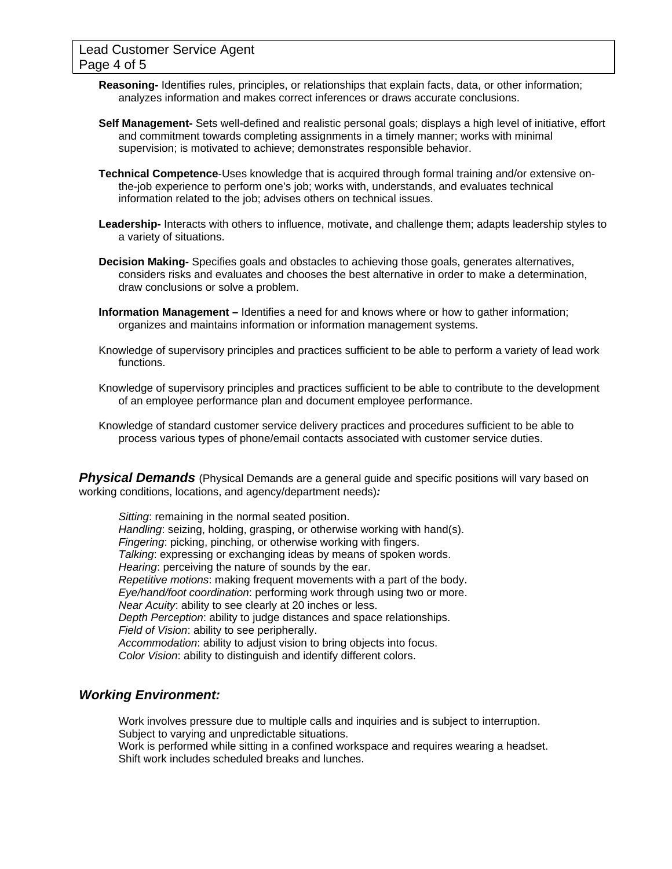- **Reasoning-** Identifies rules, principles, or relationships that explain facts, data, or other information; analyzes information and makes correct inferences or draws accurate conclusions.
- **Self Management-** Sets well-defined and realistic personal goals; displays a high level of initiative, effort and commitment towards completing assignments in a timely manner; works with minimal supervision; is motivated to achieve; demonstrates responsible behavior.
- **Technical Competence**-Uses knowledge that is acquired through formal training and/or extensive onthe-job experience to perform one's job; works with, understands, and evaluates technical information related to the job; advises others on technical issues.
- **Leadership-** Interacts with others to influence, motivate, and challenge them; adapts leadership styles to a variety of situations.
- **Decision Making-** Specifies goals and obstacles to achieving those goals, generates alternatives, considers risks and evaluates and chooses the best alternative in order to make a determination, draw conclusions or solve a problem.
- **Information Management** Identifies a need for and knows where or how to gather information; organizes and maintains information or information management systems.
- Knowledge of supervisory principles and practices sufficient to be able to perform a variety of lead work functions.
- Knowledge of supervisory principles and practices sufficient to be able to contribute to the development of an employee performance plan and document employee performance.
- Knowledge of standard customer service delivery practices and procedures sufficient to be able to process various types of phone/email contacts associated with customer service duties.

**Physical Demands** (Physical Demands are a general guide and specific positions will vary based on working conditions, locations, and agency/department needs)*:* 

*Sitting*: remaining in the normal seated position. *Handling*: seizing, holding, grasping, or otherwise working with hand(s). *Fingering*: picking, pinching, or otherwise working with fingers. *Talking*: expressing or exchanging ideas by means of spoken words. *Hearing*: perceiving the nature of sounds by the ear. *Repetitive motions*: making frequent movements with a part of the body. *Eye/hand/foot coordination*: performing work through using two or more. *Near Acuity*: ability to see clearly at 20 inches or less. *Depth Perception*: ability to judge distances and space relationships. *Field of Vision*: ability to see peripherally. *Accommodation*: ability to adjust vision to bring objects into focus. *Color Vision*: ability to distinguish and identify different colors.

### *Working Environment:*

Work involves pressure due to multiple calls and inquiries and is subject to interruption. Subject to varying and unpredictable situations.

Work is performed while sitting in a confined workspace and requires wearing a headset. Shift work includes scheduled breaks and lunches.